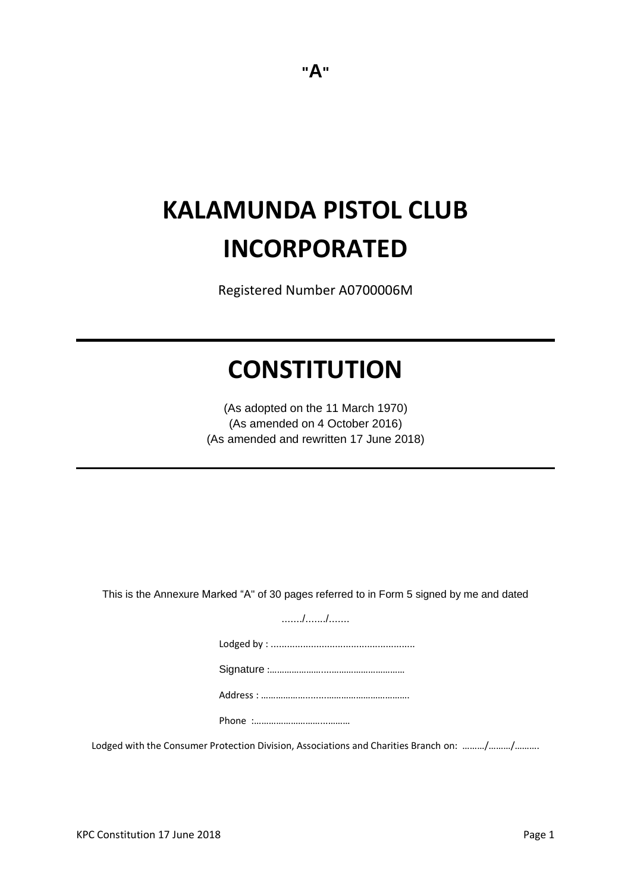# **KALAMUNDA PISTOL CLUB INCORPORATED**

Registered Number A0700006M

## **CONSTITUTION**

(As adopted on the 11 March 1970) (As amended on 4 October 2016) (As amended and rewritten 17 June 2018)

This is the Annexure Marked "A" of 30 pages referred to in Form 5 signed by me and dated

......./......./....... Lodged by : ......................................................

Signature :…………………....…………………………

Address : ………………........…………………………….

Phone :………………………...………

Lodged with the Consumer Protection Division, Associations and Charities Branch on: ………/………/……….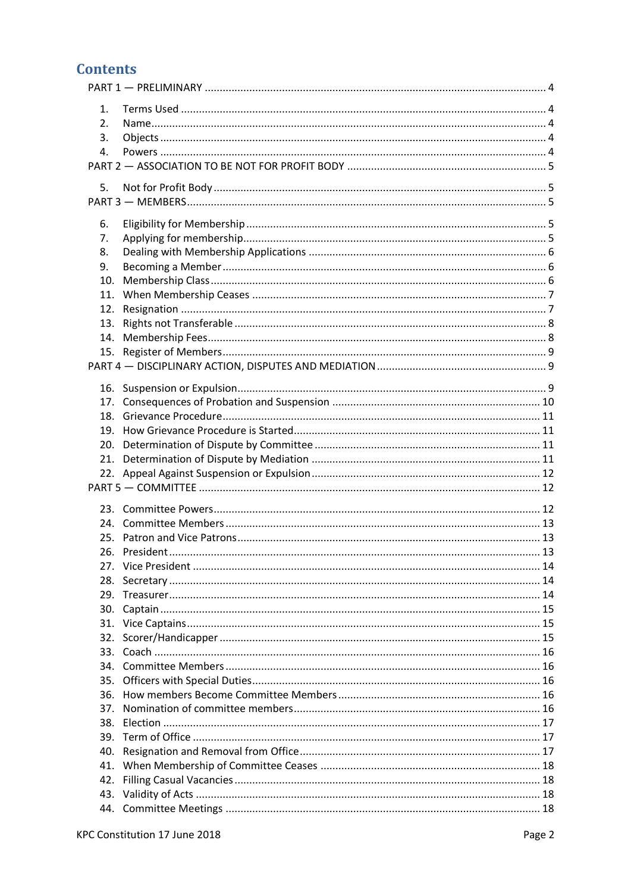## **Contents**

| 1.         |  |
|------------|--|
| 2.         |  |
| 3.         |  |
| 4.         |  |
|            |  |
|            |  |
| 5.         |  |
|            |  |
| 6.         |  |
| 7.         |  |
| 8.         |  |
| 9.         |  |
| 10.        |  |
| 11.        |  |
| 12.        |  |
| 13.        |  |
| 14.        |  |
|            |  |
|            |  |
|            |  |
|            |  |
|            |  |
|            |  |
|            |  |
|            |  |
|            |  |
|            |  |
|            |  |
|            |  |
|            |  |
|            |  |
|            |  |
|            |  |
|            |  |
| 28.        |  |
|            |  |
|            |  |
| 30.        |  |
| 31.<br>32. |  |
|            |  |
|            |  |
| 35.        |  |
| 36.        |  |
|            |  |
|            |  |
| 39.        |  |
| 40.        |  |
| 41.        |  |
| 42.        |  |
| 43.        |  |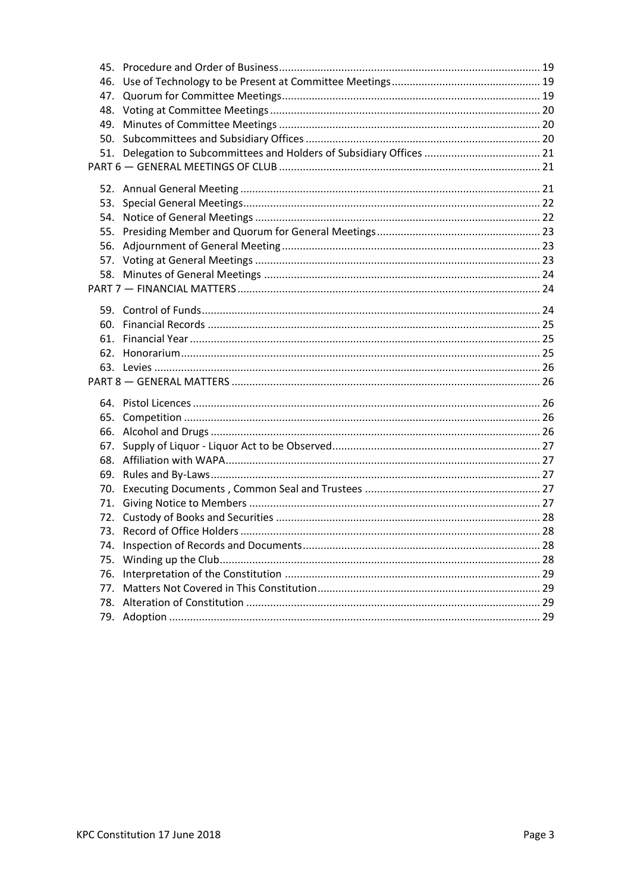| 46. |  |
|-----|--|
| 47. |  |
|     |  |
| 49. |  |
|     |  |
|     |  |
|     |  |
|     |  |
|     |  |
| 53. |  |
|     |  |
|     |  |
| 56. |  |
|     |  |
|     |  |
|     |  |
|     |  |
|     |  |
|     |  |
|     |  |
|     |  |
|     |  |
|     |  |
|     |  |
| 65. |  |
| 66. |  |
| 67. |  |
|     |  |
|     |  |
|     |  |
|     |  |
|     |  |
|     |  |
| 74. |  |
| 75. |  |
| 76. |  |
| 77. |  |
| 78. |  |
| 79. |  |
|     |  |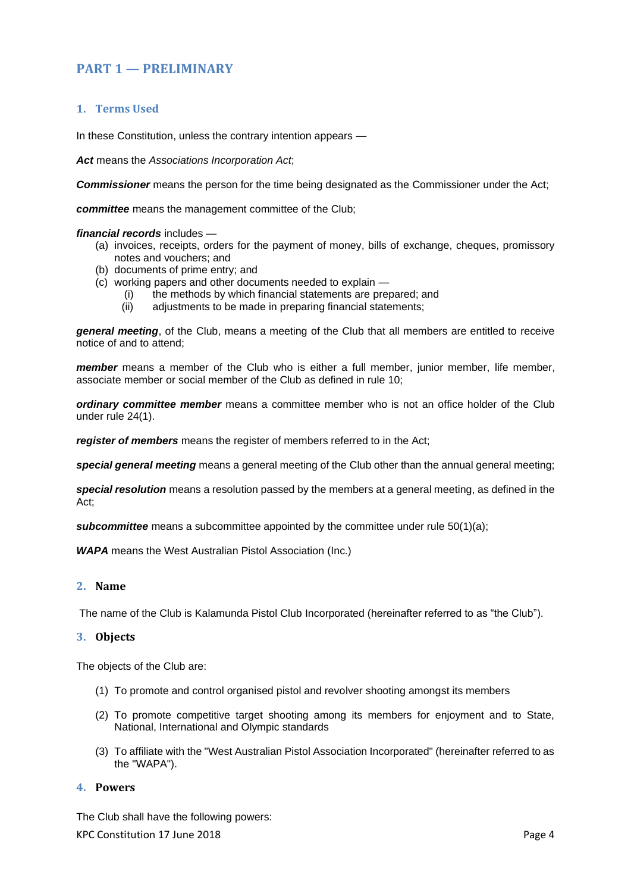## <span id="page-3-0"></span>**PART 1 — PRELIMINARY**

## <span id="page-3-1"></span>**1. Terms Used**

In these Constitution, unless the contrary intention appears —

*Act* means the *Associations Incorporation Act*;

*Commissioner* means the person for the time being designated as the Commissioner under the Act;

*committee* means the management committee of the Club;

#### *financial records* includes —

- (a) invoices, receipts, orders for the payment of money, bills of exchange, cheques, promissory notes and vouchers; and
- (b) documents of prime entry; and
- (c) working papers and other documents needed to explain
	- (i) the methods by which financial statements are prepared; and
	- (ii) adjustments to be made in preparing financial statements;

*general meeting*, of the Club, means a meeting of the Club that all members are entitled to receive notice of and to attend;

*member* means a member of the Club who is either a full member, junior member, life member, associate member or social member of the Club as defined in rule 10;

*ordinary committee member* means a committee member who is not an office holder of the Club under rule 24(1).

*register of members* means the register of members referred to in the Act;

*special general meeting* means a general meeting of the Club other than the annual general meeting;

*special resolution* means a resolution passed by the members at a general meeting, as defined in the Act;

**subcommittee** means a subcommittee appointed by the committee under rule [50](#page-19-2)[\(1\)\(a\);](#page-19-3)

*WAPA* means the West Australian Pistol Association (Inc.)

#### <span id="page-3-2"></span>**2. Name**

<span id="page-3-3"></span>The name of the Club is Kalamunda Pistol Club Incorporated (hereinafter referred to as "the Club").

#### **3. Objects**

The objects of the Club are:

- (1) To promote and control organised pistol and revolver shooting amongst its members
- (2) To promote competitive target shooting among its members for enjoyment and to State, National, International and Olympic standards
- (3) To affiliate with the "West Australian Pistol Association Incorporated" (hereinafter referred to as the "WAPA").

#### <span id="page-3-4"></span>**4. Powers**

KPC Constitution 17 June 2018 **Page 4 Page 4** The Club shall have the following powers: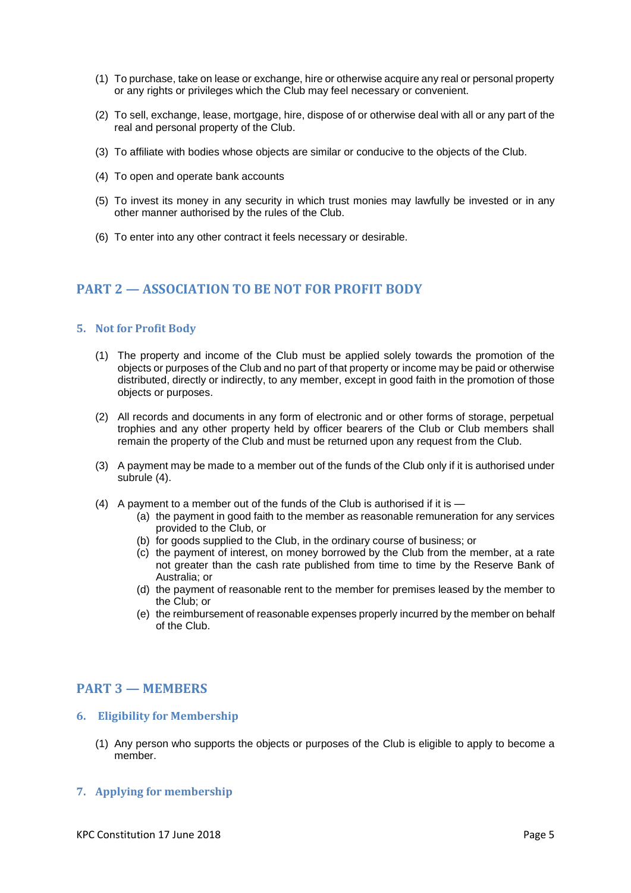- (1) To purchase, take on lease or exchange, hire or otherwise acquire any real or personal property or any rights or privileges which the Club may feel necessary or convenient.
- (2) To sell, exchange, lease, mortgage, hire, dispose of or otherwise deal with all or any part of the real and personal property of the Club.
- (3) To affiliate with bodies whose objects are similar or conducive to the objects of the Club.
- (4) To open and operate bank accounts
- (5) To invest its money in any security in which trust monies may lawfully be invested or in any other manner authorised by the rules of the Club.
- (6) To enter into any other contract it feels necessary or desirable.

## <span id="page-4-0"></span>**PART 2 — ASSOCIATION TO BE NOT FOR PROFIT BODY**

#### <span id="page-4-1"></span>**5. Not for Profit Body**

- (1) The property and income of the Club must be applied solely towards the promotion of the objects or purposes of the Club and no part of that property or income may be paid or otherwise distributed, directly or indirectly, to any member, except in good faith in the promotion of those objects or purposes.
- (2) All records and documents in any form of electronic and or other forms of storage, perpetual trophies and any other property held by officer bearers of the Club or Club members shall remain the property of the Club and must be returned upon any request from the Club.
- (3) A payment may be made to a member out of the funds of the Club only if it is authorised under subrule (4).
- (4) A payment to a member out of the funds of the Club is authorised if it is
	- (a) the payment in good faith to the member as reasonable remuneration for any services provided to the Club, or
	- (b) for goods supplied to the Club, in the ordinary course of business; or
	- (c) the payment of interest, on money borrowed by the Club from the member, at a rate not greater than the cash rate published from time to time by the Reserve Bank of Australia; or
	- (d) the payment of reasonable rent to the member for premises leased by the member to the Club; or
	- (e) the reimbursement of reasonable expenses properly incurred by the member on behalf of the Club.

## <span id="page-4-2"></span>**PART 3 — MEMBERS**

#### <span id="page-4-3"></span>**6. Eligibility for Membership**

(1) Any person who supports the objects or purposes of the Club is eligible to apply to become a member.

#### <span id="page-4-4"></span>**7. Applying for membership**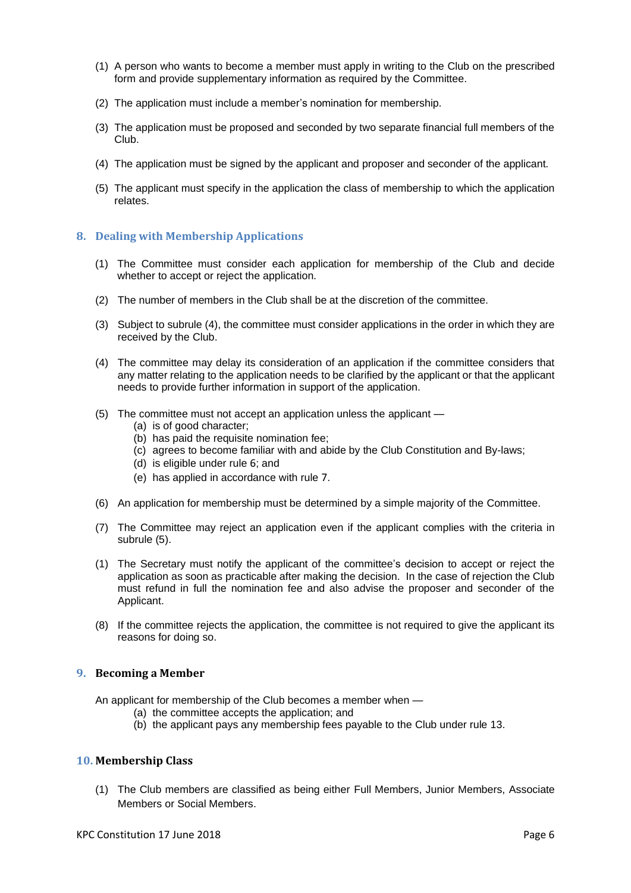- (1) A person who wants to become a member must apply in writing to the Club on the prescribed form and provide supplementary information as required by the Committee.
- (2) The application must include a member's nomination for membership.
- (3) The application must be proposed and seconded by two separate financial full members of the Club.
- (4) The application must be signed by the applicant and proposer and seconder of the applicant.
- (5) The applicant must specify in the application the class of membership to which the application relates.

## <span id="page-5-0"></span>**8. Dealing with Membership Applications**

- (1) The Committee must consider each application for membership of the Club and decide whether to accept or reject the application.
- (2) The number of members in the Club shall be at the discretion of the committee.
- (3) Subject to subrule (4), the committee must consider applications in the order in which they are received by the Club.
- (4) The committee may delay its consideration of an application if the committee considers that any matter relating to the application needs to be clarified by the applicant or that the applicant needs to provide further information in support of the application.
- (5) The committee must not accept an application unless the applicant
	- (a) is of good character;
	- (b) has paid the requisite nomination fee;
	- (c) agrees to become familiar with and abide by the Club Constitution and By-laws;
	- (d) is eligible under rule [6](#page-4-3); and
	- (e) has applied in accordance with rule [7](#page-4-4).
- (6) An application for membership must be determined by a simple majority of the Committee.
- (7) The Committee may reject an application even if the applicant complies with the criteria in subrule (5).
- (1) The Secretary must notify the applicant of the committee's decision to accept or reject the application as soon as practicable after making the decision. In the case of rejection the Club must refund in full the nomination fee and also advise the proposer and seconder of the Applicant.
- (8) If the committee rejects the application, the committee is not required to give the applicant its reasons for doing so.

#### <span id="page-5-1"></span>**9. Becoming a Member**

An applicant for membership of the Club becomes a member when —

- (a) the committee accepts the application; and
- (b) the applicant pays any membership fees payable to the Club under rule 13.

#### <span id="page-5-2"></span>**10. Membership Class**

(1) The Club members are classified as being either Full Members, Junior Members, Associate Members or Social Members.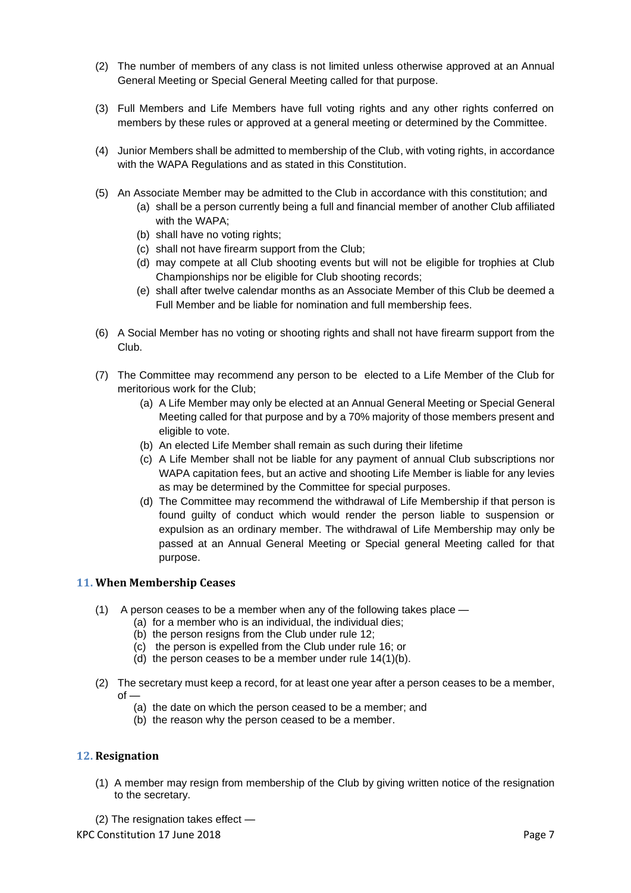- (2) The number of members of any class is not limited unless otherwise approved at an Annual General Meeting or Special General Meeting called for that purpose.
- (3) Full Members and Life Members have full voting rights and any other rights conferred on members by these rules or approved at a general meeting or determined by the Committee.
- (4) Junior Members shall be admitted to membership of the Club, with voting rights, in accordance with the WAPA Regulations and as stated in this Constitution.
- (5) An Associate Member may be admitted to the Club in accordance with this constitution; and
	- (a) shall be a person currently being a full and financial member of another Club affiliated with the WAPA;
	- (b) shall have no voting rights;
	- (c) shall not have firearm support from the Club;
	- (d) may compete at all Club shooting events but will not be eligible for trophies at Club Championships nor be eligible for Club shooting records;
	- (e) shall after twelve calendar months as an Associate Member of this Club be deemed a Full Member and be liable for nomination and full membership fees.
- (6) A Social Member has no voting or shooting rights and shall not have firearm support from the Club.
- (7) The Committee may recommend any person to be elected to a Life Member of the Club for meritorious work for the Club;
	- (a) A Life Member may only be elected at an Annual General Meeting or Special General Meeting called for that purpose and by a 70% majority of those members present and eligible to vote.
	- (b) An elected Life Member shall remain as such during their lifetime
	- (c) A Life Member shall not be liable for any payment of annual Club subscriptions nor WAPA capitation fees, but an active and shooting Life Member is liable for any levies as may be determined by the Committee for special purposes.
	- (d) The Committee may recommend the withdrawal of Life Membership if that person is found guilty of conduct which would render the person liable to suspension or expulsion as an ordinary member. The withdrawal of Life Membership may only be passed at an Annual General Meeting or Special general Meeting called for that purpose.

#### <span id="page-6-0"></span>**11. When Membership Ceases**

- (1) A person ceases to be a member when any of the following takes place
	- (a) for a member who is an individual, the individual dies;
	- (b) the person resigns from the Club under rul[e 12;](#page-6-1)
	- (c) the person is expelled from the Club under rule [16;](#page-8-2) or
	- (d) the person ceases to be a member under rule 14(1)(b).
- (2) The secretary must keep a record, for at least one year after a person ceases to be a member,  $of$ 
	- (a) the date on which the person ceased to be a member; and
	- (b) the reason why the person ceased to be a member.

#### <span id="page-6-1"></span>**12. Resignation**

(1) A member may resign from membership of the Club by giving written notice of the resignation to the secretary.

KPC Constitution 17 June 2018 **Page 7** (2) The resignation takes effect —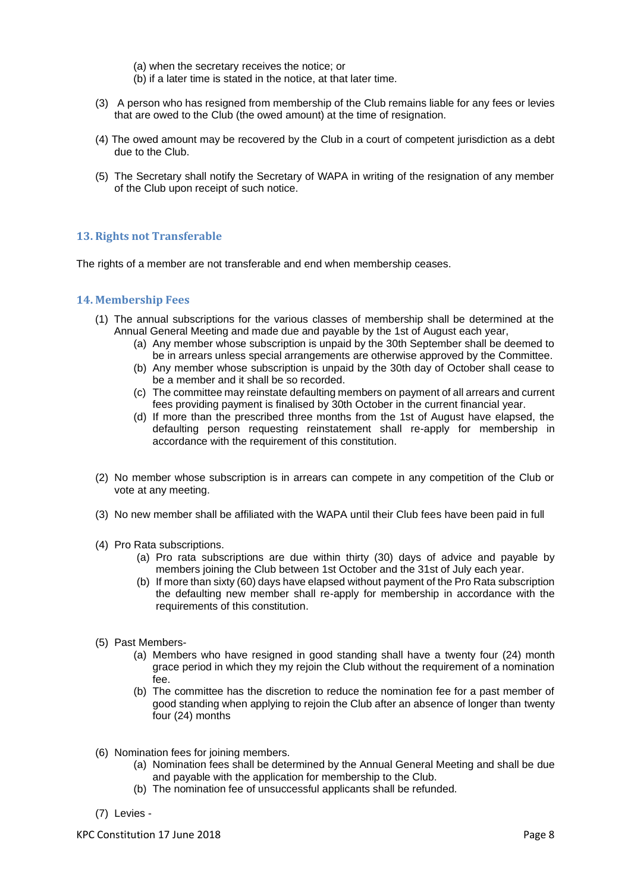(a) when the secretary receives the notice; or

- (b) if a later time is stated in the notice, at that later time.
- (3) A person who has resigned from membership of the Club remains liable for any fees or levies that are owed to the Club (the owed amount) at the time of resignation.
- (4) The owed amount may be recovered by the Club in a court of competent jurisdiction as a debt due to the Club.
- (5) The Secretary shall notify the Secretary of WAPA in writing of the resignation of any member of the Club upon receipt of such notice.

## <span id="page-7-0"></span>**13. Rights not Transferable**

The rights of a member are not transferable and end when membership ceases.

#### <span id="page-7-1"></span>**14. Membership Fees**

- (1) The annual subscriptions for the various classes of membership shall be determined at the Annual General Meeting and made due and payable by the 1st of August each year,
	- (a) Any member whose subscription is unpaid by the 30th September shall be deemed to be in arrears unless special arrangements are otherwise approved by the Committee.
	- (b) Any member whose subscription is unpaid by the 30th day of October shall cease to be a member and it shall be so recorded.
	- (c) The committee may reinstate defaulting members on payment of all arrears and current fees providing payment is finalised by 30th October in the current financial year.
	- (d) If more than the prescribed three months from the 1st of August have elapsed, the defaulting person requesting reinstatement shall re-apply for membership in accordance with the requirement of this constitution.
- (2) No member whose subscription is in arrears can compete in any competition of the Club or vote at any meeting.
- (3) No new member shall be affiliated with the WAPA until their Club fees have been paid in full
- (4) Pro Rata subscriptions.
	- (a) Pro rata subscriptions are due within thirty (30) days of advice and payable by members joining the Club between 1st October and the 31st of July each year.
	- (b) If more than sixty (60) days have elapsed without payment of the Pro Rata subscription the defaulting new member shall re-apply for membership in accordance with the requirements of this constitution.
- (5) Past Members-
	- (a) Members who have resigned in good standing shall have a twenty four (24) month grace period in which they my rejoin the Club without the requirement of a nomination fee.
	- (b) The committee has the discretion to reduce the nomination fee for a past member of good standing when applying to rejoin the Club after an absence of longer than twenty four (24) months
- (6) Nomination fees for joining members.
	- (a) Nomination fees shall be determined by the Annual General Meeting and shall be due and payable with the application for membership to the Club.
	- (b) The nomination fee of unsuccessful applicants shall be refunded.
- (7) Levies -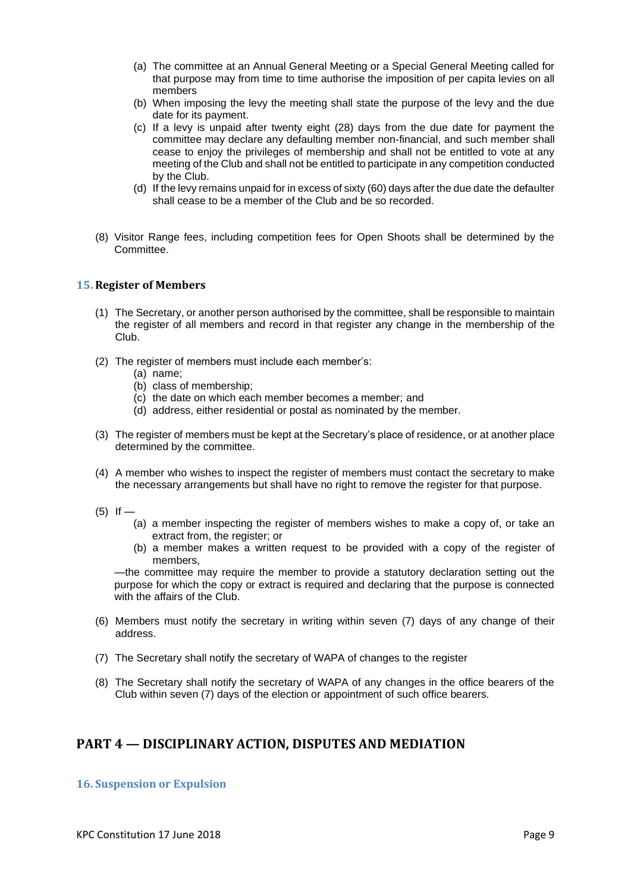- (a) The committee at an Annual General Meeting or a Special General Meeting called for that purpose may from time to time authorise the imposition of per capita levies on all members
- (b) When imposing the levy the meeting shall state the purpose of the levy and the due date for its payment.
- (c) If a levy is unpaid after twenty eight (28) days from the due date for payment the committee may declare any defaulting member non-financial, and such member shall cease to enjoy the privileges of membership and shall not be entitled to vote at any meeting of the Club and shall not be entitled to participate in any competition conducted by the Club.
- (d) If the levy remains unpaid for in excess of sixty (60) days after the due date the defaulter shall cease to be a member of the Club and be so recorded.
- (8) Visitor Range fees, including competition fees for Open Shoots shall be determined by the Committee.

#### <span id="page-8-0"></span>**15. Register of Members**

- (1) The Secretary, or another person authorised by the committee, shall be responsible to maintain the register of all members and record in that register any change in the membership of the Club.
- (2) The register of members must include each member's:
	- (a) name;
	- (b) class of membership;
	- (c) the date on which each member becomes a member; and
	- (d) address, either residential or postal as nominated by the member.
- (3) The register of members must be kept at the Secretary's place of residence, or at another place determined by the committee.
- (4) A member who wishes to inspect the register of members must contact the secretary to make the necessary arrangements but shall have no right to remove the register for that purpose.
- $(5)$  If
	- (a) a member inspecting the register of members wishes to make a copy of, or take an extract from, the register; or
	- (b) a member makes a written request to be provided with a copy of the register of members,

—the committee may require the member to provide a statutory declaration setting out the purpose for which the copy or extract is required and declaring that the purpose is connected with the affairs of the Club.

- (6) Members must notify the secretary in writing within seven (7) days of any change of their address.
- (7) The Secretary shall notify the secretary of WAPA of changes to the register
- (8) The Secretary shall notify the secretary of WAPA of any changes in the office bearers of the Club within seven (7) days of the election or appointment of such office bearers.

## <span id="page-8-1"></span>**PART 4 — DISCIPLINARY ACTION, DISPUTES AND MEDIATION**

#### <span id="page-8-2"></span>**16. Suspension or Expulsion**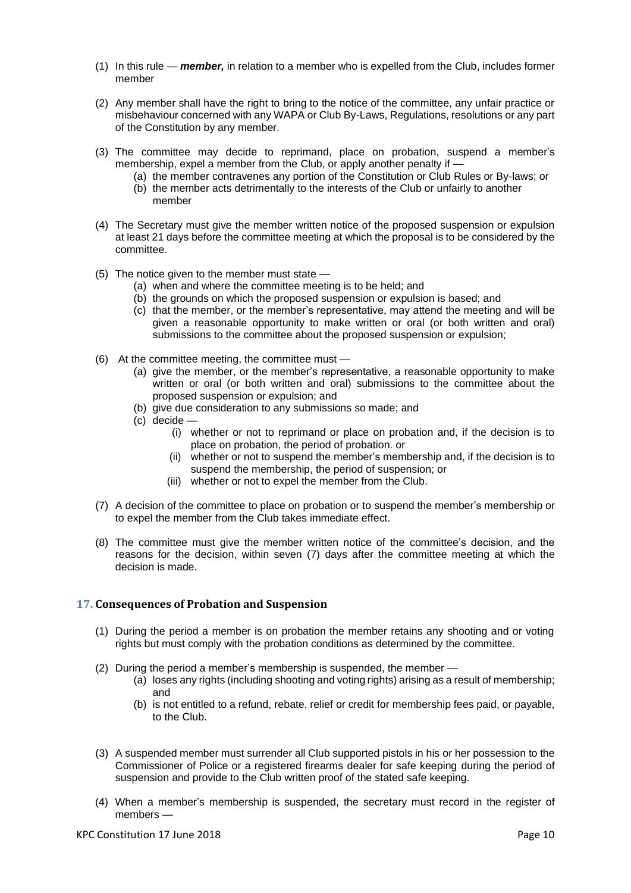- (1) In this rule *member,* in relation to a member who is expelled from the Club, includes former member
- (2) Any member shall have the right to bring to the notice of the committee, any unfair practice or misbehaviour concerned with any WAPA or Club By-Laws, Regulations, resolutions or any part of the Constitution by any member.
- (3) The committee may decide to reprimand, place on probation, suspend a member's membership, expel a member from the Club, or apply another penalty if -
	- (a) the member contravenes any portion of the Constitution or Club Rules or By-laws; or (b) the member acts detrimentally to the interests of the Club or unfairly to another member
- (4) The Secretary must give the member written notice of the proposed suspension or expulsion at least 21 days before the committee meeting at which the proposal is to be considered by the committee.
- (5) The notice given to the member must state
	- (a) when and where the committee meeting is to be held; and
	- (b) the grounds on which the proposed suspension or expulsion is based; and
	- (c) that the member, or the member's representative, may attend the meeting and will be given a reasonable opportunity to make written or oral (or both written and oral) submissions to the committee about the proposed suspension or expulsion;
- (6) At the committee meeting, the committee must
	- (a) give the member, or the member's representative, a reasonable opportunity to make written or oral (or both written and oral) submissions to the committee about the proposed suspension or expulsion; and
	- (b) give due consideration to any submissions so made; and
	- (c) decide
		- (i) whether or not to reprimand or place on probation and, if the decision is to place on probation, the period of probation. or
		- (ii) whether or not to suspend the member's membership and, if the decision is to suspend the membership, the period of suspension; or
		- (iii) whether or not to expel the member from the Club.
- (7) A decision of the committee to place on probation or to suspend the member's membership or to expel the member from the Club takes immediate effect.
- (8) The committee must give the member written notice of the committee's decision, and the reasons for the decision, within seven (7) days after the committee meeting at which the decision is made.

#### <span id="page-9-0"></span>**17. Consequences of Probation and Suspension**

- (1) During the period a member is on probation the member retains any shooting and or voting rights but must comply with the probation conditions as determined by the committee.
- (2) During the period a member's membership is suspended, the member
	- (a) loses any rights (including shooting and voting rights) arising as a result of membership; and
	- (b) is not entitled to a refund, rebate, relief or credit for membership fees paid, or payable, to the Club.
- (3) A suspended member must surrender all Club supported pistols in his or her possession to the Commissioner of Police or a registered firearms dealer for safe keeping during the period of suspension and provide to the Club written proof of the stated safe keeping.
- (4) When a member's membership is suspended, the secretary must record in the register of members —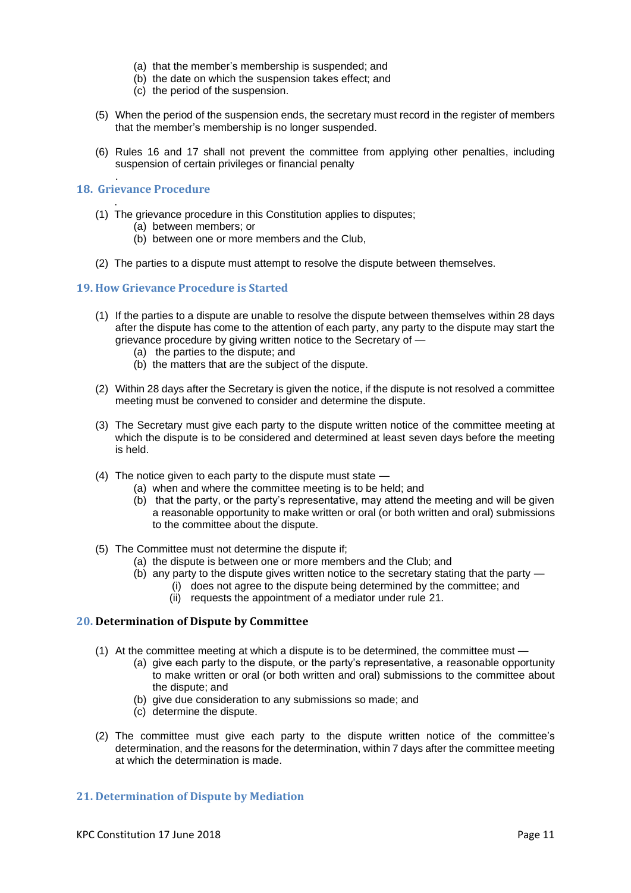- (a) that the member's membership is suspended; and
- (b) the date on which the suspension takes effect; and
- (c) the period of the suspension.
- (5) When the period of the suspension ends, the secretary must record in the register of members that the member's membership is no longer suspended.
- (6) Rules [16](#page-8-2) and [17](#page-9-0) shall not prevent the committee from applying other penalties, including suspension of certain privileges or financial penalty

#### **18. Grievance Procedure**

.

- <span id="page-10-0"></span>. (1) The grievance procedure in this Constitution applies to disputes;
	- (a) between members; or
	- (b) between one or more members and the Club,
- (2) The parties to a dispute must attempt to resolve the dispute between themselves.

#### <span id="page-10-1"></span>**19. How Grievance Procedure is Started**

- (1) If the parties to a dispute are unable to resolve the dispute between themselves within 28 days after the dispute has come to the attention of each party, any party to the dispute may start the grievance procedure by giving written notice to the Secretary of —
	- (a) the parties to the dispute; and
	- (b) the matters that are the subject of the dispute.
- (2) Within 28 days after the Secretary is given the notice, if the dispute is not resolved a committee meeting must be convened to consider and determine the dispute.
- (3) The Secretary must give each party to the dispute written notice of the committee meeting at which the dispute is to be considered and determined at least seven days before the meeting is held.
- (4) The notice given to each party to the dispute must state  $\cdot$ 
	- (a) when and where the committee meeting is to be held; and
	- (b) that the party, or the party's representative, may attend the meeting and will be given a reasonable opportunity to make written or oral (or both written and oral) submissions to the committee about the dispute.
- (5) The Committee must not determine the dispute if;
	- (a) the dispute is between one or more members and the Club; and
	- (b) any party to the dispute gives written notice to the secretary stating that the party
		- (i) does not agree to the dispute being determined by the committee; and
			- (ii) requests the appointment of a mediator under rule 21.

#### <span id="page-10-2"></span>**20. Determination of Dispute by Committee**

- (1) At the committee meeting at which a dispute is to be determined, the committee must
	- (a) give each party to the dispute, or the party's representative, a reasonable opportunity to make written or oral (or both written and oral) submissions to the committee about the dispute; and
	- (b) give due consideration to any submissions so made; and
	- (c) determine the dispute.
- (2) The committee must give each party to the dispute written notice of the committee's determination, and the reasons for the determination, within 7 days after the committee meeting at which the determination is made.

#### <span id="page-10-3"></span>**21. Determination of Dispute by Mediation**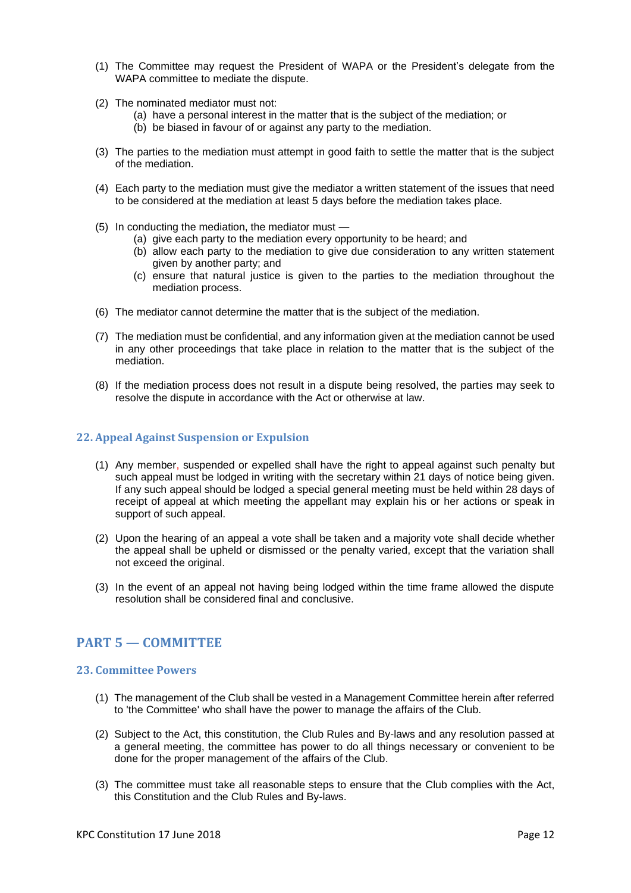- (1) The Committee may request the President of WAPA or the President's delegate from the WAPA committee to mediate the dispute.
- (2) The nominated mediator must not:
	- (a) have a personal interest in the matter that is the subject of the mediation; or
	- (b) be biased in favour of or against any party to the mediation.
- (3) The parties to the mediation must attempt in good faith to settle the matter that is the subject of the mediation.
- (4) Each party to the mediation must give the mediator a written statement of the issues that need to be considered at the mediation at least 5 days before the mediation takes place.
- (5) In conducting the mediation, the mediator must
	- (a) give each party to the mediation every opportunity to be heard; and
	- (b) allow each party to the mediation to give due consideration to any written statement given by another party; and
	- (c) ensure that natural justice is given to the parties to the mediation throughout the mediation process.
- (6) The mediator cannot determine the matter that is the subject of the mediation.
- (7) The mediation must be confidential, and any information given at the mediation cannot be used in any other proceedings that take place in relation to the matter that is the subject of the mediation.
- (8) If the mediation process does not result in a dispute being resolved, the parties may seek to resolve the dispute in accordance with the Act or otherwise at law.

#### <span id="page-11-0"></span>**22. Appeal Against Suspension or Expulsion**

- (1) Any member, suspended or expelled shall have the right to appeal against such penalty but such appeal must be lodged in writing with the secretary within 21 days of notice being given. If any such appeal should be lodged a special general meeting must be held within 28 days of receipt of appeal at which meeting the appellant may explain his or her actions or speak in support of such appeal.
- (2) Upon the hearing of an appeal a vote shall be taken and a majority vote shall decide whether the appeal shall be upheld or dismissed or the penalty varied, except that the variation shall not exceed the original.
- (3) In the event of an appeal not having being lodged within the time frame allowed the dispute resolution shall be considered final and conclusive.

## <span id="page-11-1"></span>**PART 5 — COMMITTEE**

#### <span id="page-11-2"></span>**23. Committee Powers**

- (1) The management of the Club shall be vested in a Management Committee herein after referred to 'the Committee' who shall have the power to manage the affairs of the Club.
- (2) Subject to the Act, this constitution, the Club Rules and By-laws and any resolution passed at a general meeting, the committee has power to do all things necessary or convenient to be done for the proper management of the affairs of the Club.
- (3) The committee must take all reasonable steps to ensure that the Club complies with the Act, this Constitution and the Club Rules and By-laws.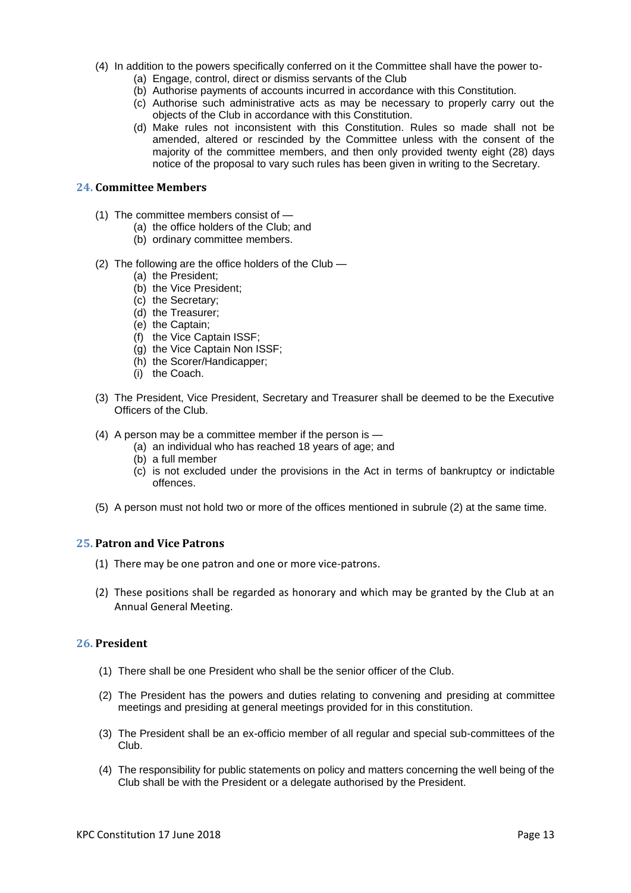- (4) In addition to the powers specifically conferred on it the Committee shall have the power to-
	- (a) Engage, control, direct or dismiss servants of the Club
	- (b) Authorise payments of accounts incurred in accordance with this Constitution.
	- (c) Authorise such administrative acts as may be necessary to properly carry out the objects of the Club in accordance with this Constitution.
	- (d) Make rules not inconsistent with this Constitution. Rules so made shall not be amended, altered or rescinded by the Committee unless with the consent of the majority of the committee members, and then only provided twenty eight (28) days notice of the proposal to vary such rules has been given in writing to the Secretary.

#### <span id="page-12-0"></span>**24. Committee Members**

- (1) The committee members consist of
	- (a) the office holders of the Club; and
	- (b) ordinary committee members.
- (2) The following are the office holders of the Club
	- (a) the President:
	- (b) the Vice President;
	- (c) the Secretary;
	- (d) the Treasurer;
	- (e) the Captain;
	- (f) the Vice Captain ISSF;
	- (g) the Vice Captain Non ISSF;
	- (h) the Scorer/Handicapper;
	- (i) the Coach.
- (3) The President, Vice President, Secretary and Treasurer shall be deemed to be the Executive Officers of the Club.
- (4) A person may be a committee member if the person is
	- (a) an individual who has reached 18 years of age; and
	- (b) a full member
	- (c) is not excluded under the provisions in the Act in terms of bankruptcy or indictable offences.
- (5) A person must not hold two or more of the offices mentioned in subrule (2) at the same time.

#### <span id="page-12-1"></span>**25. Patron and Vice Patrons**

- (1) There may be one patron and one or more vice-patrons.
- (2) These positions shall be regarded as honorary and which may be granted by the Club at an Annual General Meeting.

#### <span id="page-12-2"></span>**26. President**

- (1) There shall be one President who shall be the senior officer of the Club.
- (2) The President has the powers and duties relating to convening and presiding at committee meetings and presiding at general meetings provided for in this constitution.
- (3) The President shall be an ex-officio member of all regular and special sub-committees of the Club.
- (4) The responsibility for public statements on policy and matters concerning the well being of the Club shall be with the President or a delegate authorised by the President.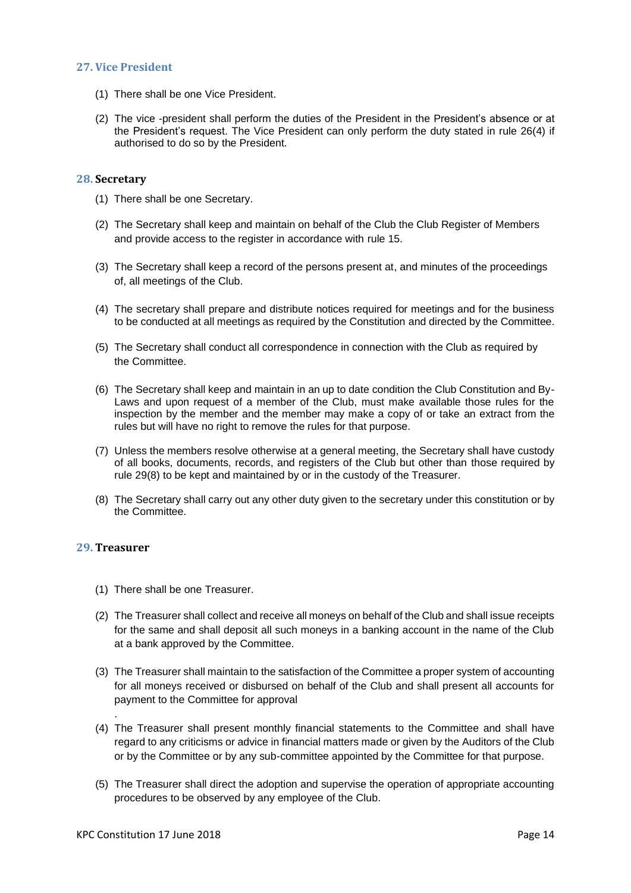#### <span id="page-13-0"></span>**27. Vice President**

- (1) There shall be one Vice President.
- (2) The vice -president shall perform the duties of the President in the President's absence or at the President's request. The Vice President can only perform the duty stated in rule 26(4) if authorised to do so by the President.

#### <span id="page-13-1"></span>**28. Secretary**

- (1) There shall be one Secretary.
- (2) The Secretary shall keep and maintain on behalf of the Club the Club Register of Members and provide access to the register in accordance with rule 15.
- (3) The Secretary shall keep a record of the persons present at, and minutes of the proceedings of, all meetings of the Club.
- (4) The secretary shall prepare and distribute notices required for meetings and for the business to be conducted at all meetings as required by the Constitution and directed by the Committee.
- (5) The Secretary shall conduct all correspondence in connection with the Club as required by the Committee.
- (6) The Secretary shall keep and maintain in an up to date condition the Club Constitution and By-Laws and upon request of a member of the Club, must make available those rules for the inspection by the member and the member may make a copy of or take an extract from the rules but will have no right to remove the rules for that purpose.
- (7) Unless the members resolve otherwise at a general meeting, the Secretary shall have custody of all books, documents, records, and registers of the Club but other than those required by rule 29(8) to be kept and maintained by or in the custody of the Treasurer.
- (8) The Secretary shall carry out any other duty given to the secretary under this constitution or by the Committee.

#### <span id="page-13-2"></span>**29. Treasurer**

.

- (1) There shall be one Treasurer.
- (2) The Treasurer shall collect and receive all moneys on behalf of the Club and shall issue receipts for the same and shall deposit all such moneys in a banking account in the name of the Club at a bank approved by the Committee.
- (3) The Treasurer shall maintain to the satisfaction of the Committee a proper system of accounting for all moneys received or disbursed on behalf of the Club and shall present all accounts for payment to the Committee for approval
- (4) The Treasurer shall present monthly financial statements to the Committee and shall have regard to any criticisms or advice in financial matters made or given by the Auditors of the Club or by the Committee or by any sub-committee appointed by the Committee for that purpose.
- (5) The Treasurer shall direct the adoption and supervise the operation of appropriate accounting procedures to be observed by any employee of the Club.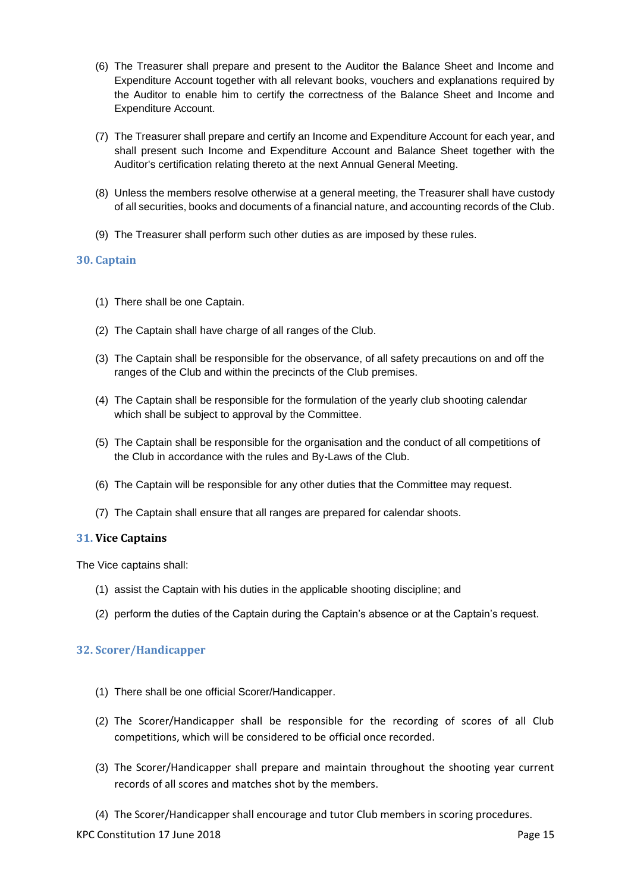- (6) The Treasurer shall prepare and present to the Auditor the Balance Sheet and Income and Expenditure Account together with all relevant books, vouchers and explanations required by the Auditor to enable him to certify the correctness of the Balance Sheet and Income and Expenditure Account.
- (7) The Treasurer shall prepare and certify an Income and Expenditure Account for each year, and shall present such Income and Expenditure Account and Balance Sheet together with the Auditor's certification relating thereto at the next Annual General Meeting.
- (8) Unless the members resolve otherwise at a general meeting, the Treasurer shall have custody of all securities, books and documents of a financial nature, and accounting records of the Club.
- (9) The Treasurer shall perform such other duties as are imposed by these rules.

#### <span id="page-14-0"></span>**30. Captain**

- (1) There shall be one Captain.
- (2) The Captain shall have charge of all ranges of the Club.
- (3) The Captain shall be responsible for the observance, of all safety precautions on and off the ranges of the Club and within the precincts of the Club premises.
- (4) The Captain shall be responsible for the formulation of the yearly club shooting calendar which shall be subject to approval by the Committee.
- (5) The Captain shall be responsible for the organisation and the conduct of all competitions of the Club in accordance with the rules and By-Laws of the Club.
- (6) The Captain will be responsible for any other duties that the Committee may request.
- (7) The Captain shall ensure that all ranges are prepared for calendar shoots.

#### <span id="page-14-1"></span>**31. Vice Captains**

The Vice captains shall:

- (1) assist the Captain with his duties in the applicable shooting discipline; and
- (2) perform the duties of the Captain during the Captain's absence or at the Captain's request.

#### <span id="page-14-2"></span>**32. Scorer/Handicapper**

- (1) There shall be one official Scorer/Handicapper.
- (2) The Scorer/Handicapper shall be responsible for the recording of scores of all Club competitions, which will be considered to be official once recorded.
- (3) The Scorer/Handicapper shall prepare and maintain throughout the shooting year current records of all scores and matches shot by the members.
- (4) The Scorer/Handicapper shall encourage and tutor Club members in scoring procedures.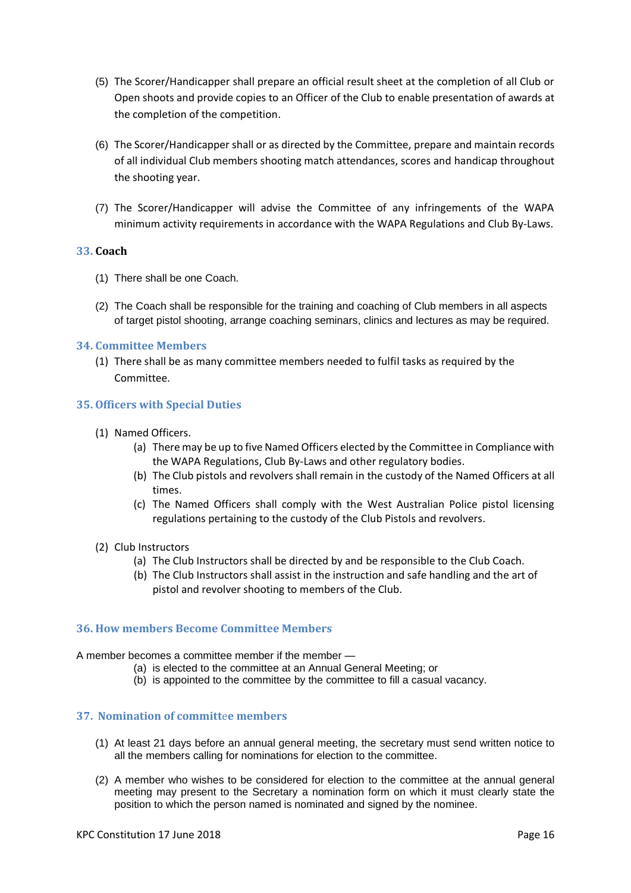- (5) The Scorer/Handicapper shall prepare an official result sheet at the completion of all Club or Open shoots and provide copies to an Officer of the Club to enable presentation of awards at the completion of the competition.
- (6) The Scorer/Handicapper shall or as directed by the Committee, prepare and maintain records of all individual Club members shooting match attendances, scores and handicap throughout the shooting year.
- (7) The Scorer/Handicapper will advise the Committee of any infringements of the WAPA minimum activity requirements in accordance with the WAPA Regulations and Club By-Laws.

#### <span id="page-15-0"></span>**33. Coach**

- (1) There shall be one Coach.
- (2) The Coach shall be responsible for the training and coaching of Club members in all aspects of target pistol shooting, arrange coaching seminars, clinics and lectures as may be required.

#### <span id="page-15-1"></span>**34. Committee Members**

(1) There shall be as many committee members needed to fulfil tasks as required by the Committee.

#### <span id="page-15-2"></span>**35. Officers with Special Duties**

- (1) Named Officers.
	- (a) There may be up to five Named Officers elected by the Committee in Compliance with the WAPA Regulations, Club By-Laws and other regulatory bodies.
	- (b) The Club pistols and revolvers shall remain in the custody of the Named Officers at all times.
	- (c) The Named Officers shall comply with the West Australian Police pistol licensing regulations pertaining to the custody of the Club Pistols and revolvers.
- (2) Club Instructors
	- (a) The Club Instructors shall be directed by and be responsible to the Club Coach.
	- (b) The Club Instructors shall assist in the instruction and safe handling and the art of pistol and revolver shooting to members of the Club.

#### <span id="page-15-3"></span>**36. How members Become Committee Members**

A member becomes a committee member if the member —

- (a) is elected to the committee at an Annual General Meeting; or
- (b) is appointed to the committee by the committee to fill a casual vacancy.

## <span id="page-15-4"></span>**37. Nomination of committ**e**e members**

- (1) At least 21 days before an annual general meeting, the secretary must send written notice to all the members calling for nominations for election to the committee.
- (2) A member who wishes to be considered for election to the committee at the annual general meeting may present to the Secretary a nomination form on which it must clearly state the position to which the person named is nominated and signed by the nominee.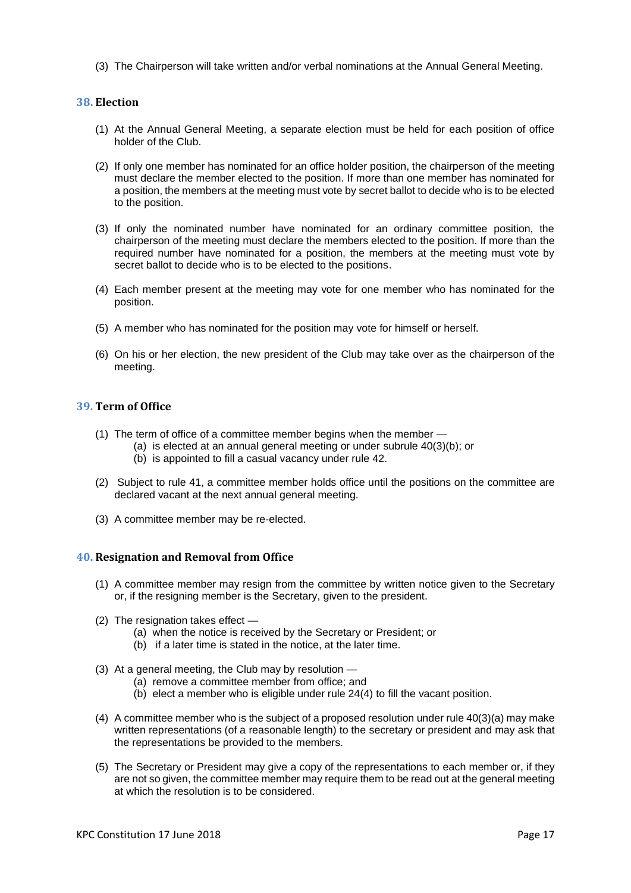(3) The Chairperson will take written and/or verbal nominations at the Annual General Meeting.

#### <span id="page-16-0"></span>**38. Election**

- (1) At the Annual General Meeting, a separate election must be held for each position of office holder of the Club.
- (2) If only one member has nominated for an office holder position, the chairperson of the meeting must declare the member elected to the position. If more than one member has nominated for a position, the members at the meeting must vote by secret ballot to decide who is to be elected to the position.
- (3) If only the nominated number have nominated for an ordinary committee position, the chairperson of the meeting must declare the members elected to the position. If more than the required number have nominated for a position, the members at the meeting must vote by secret ballot to decide who is to be elected to the positions.
- (4) Each member present at the meeting may vote for one member who has nominated for the position.
- (5) A member who has nominated for the position may vote for himself or herself.
- (6) On his or her election, the new president of the Club may take over as the chairperson of the meeting.

## <span id="page-16-1"></span>**39. Term of Office**

- (1) The term of office of a committee member begins when the member
	- (a) is elected at an annual general meeting or under subrule 40(3)(b); or
	- (b) is appointed to fill a casual vacancy under rule 42.
- (2) Subject to rule 41, a committee member holds office until the positions on the committee are declared vacant at the next annual general meeting.
- (3) A committee member may be re-elected.

#### <span id="page-16-2"></span>**40. Resignation and Removal from Office**

- (1) A committee member may resign from the committee by written notice given to the Secretary or, if the resigning member is the Secretary, given to the president.
- (2) The resignation takes effect
	- (a) when the notice is received by the Secretary or President; or
	- (b) if a later time is stated in the notice, at the later time.
- (3) At a general meeting, the Club may by resolution
	- (a) remove a committee member from office; and
		- (b) elect a member who is eligible under rule 24(4) to fill the vacant position.
- (4) A committee member who is the subject of a proposed resolution under rule 40(3)(a) may make written representations (of a reasonable length) to the secretary or president and may ask that the representations be provided to the members.
- (5) The Secretary or President may give a copy of the representations to each member or, if they are not so given, the committee member may require them to be read out at the general meeting at which the resolution is to be considered.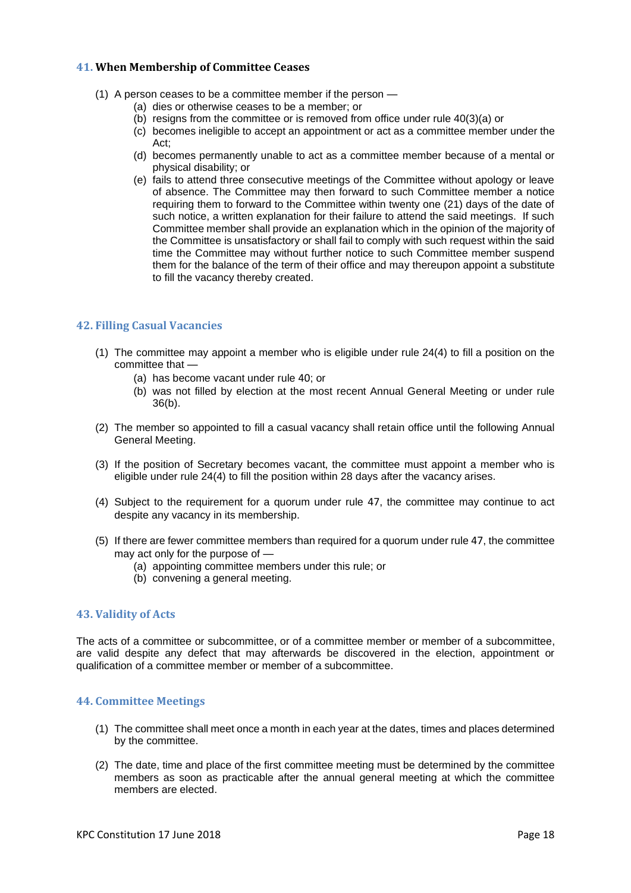#### <span id="page-17-0"></span>**41. When Membership of Committee Ceases**

- (1) A person ceases to be a committee member if the person
	- (a) dies or otherwise ceases to be a member; or
	- (b) resigns from the committee or is removed from office under rule 40(3)(a) or
	- (c) becomes ineligible to accept an appointment or act as a committee member under the Act;
	- (d) becomes permanently unable to act as a committee member because of a mental or physical disability; or
	- (e) fails to attend three consecutive meetings of the Committee without apology or leave of absence. The Committee may then forward to such Committee member a notice requiring them to forward to the Committee within twenty one (21) days of the date of such notice, a written explanation for their failure to attend the said meetings. If such Committee member shall provide an explanation which in the opinion of the majority of the Committee is unsatisfactory or shall fail to comply with such request within the said time the Committee may without further notice to such Committee member suspend them for the balance of the term of their office and may thereupon appoint a substitute to fill the vacancy thereby created.

#### <span id="page-17-1"></span>**42. Filling Casual Vacancies**

- (1) The committee may appoint a member who is eligible under rule 24(4) to fill a position on the committee that —
	- (a) has become vacant under rule 40; or
	- (b) was not filled by election at the most recent Annual General Meeting or under rule 36(b).
- (2) The member so appointed to fill a casual vacancy shall retain office until the following Annual General Meeting.
- (3) If the position of Secretary becomes vacant, the committee must appoint a member who is eligible under rule 24(4) to fill the position within 28 days after the vacancy arises.
- (4) Subject to the requirement for a quorum under rule 47, the committee may continue to act despite any vacancy in its membership.
- (5) If there are fewer committee members than required for a quorum under rule 47, the committee may act only for the purpose of —
	- (a) appointing committee members under this rule; or
	- (b) convening a general meeting.

#### <span id="page-17-2"></span>**43. Validity of Acts**

The acts of a committee or subcommittee, or of a committee member or member of a subcommittee, are valid despite any defect that may afterwards be discovered in the election, appointment or qualification of a committee member or member of a subcommittee.

#### <span id="page-17-3"></span>**44. Committee Meetings**

- (1) The committee shall meet once a month in each year at the dates, times and places determined by the committee.
- (2) The date, time and place of the first committee meeting must be determined by the committee members as soon as practicable after the annual general meeting at which the committee members are elected.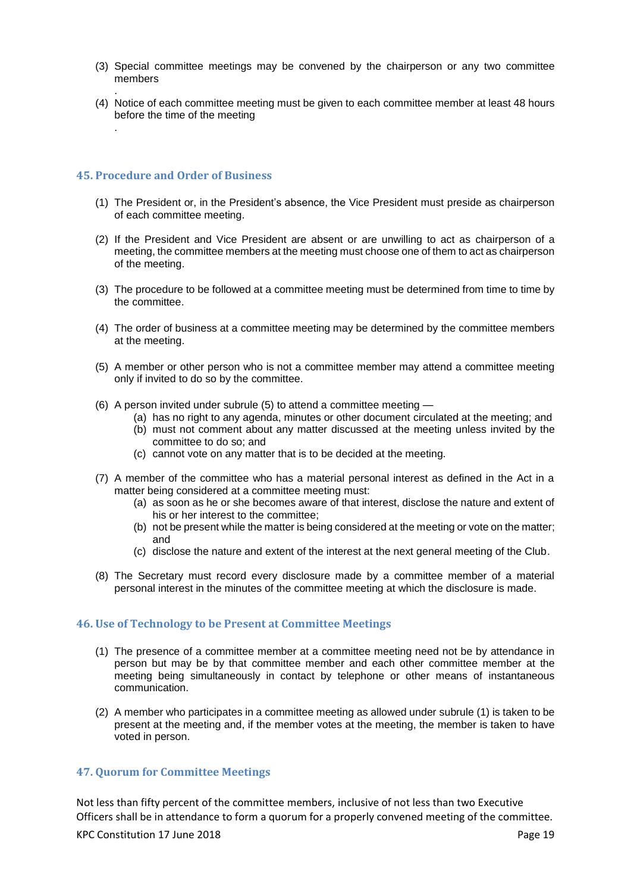- (3) Special committee meetings may be convened by the chairperson or any two committee members
- . (4) Notice of each committee meeting must be given to each committee member at least 48 hours before the time of the meeting

#### <span id="page-18-0"></span>**45. Procedure and Order of Business**

.

- (1) The President or, in the President's absence, the Vice President must preside as chairperson of each committee meeting.
- (2) If the President and Vice President are absent or are unwilling to act as chairperson of a meeting, the committee members at the meeting must choose one of them to act as chairperson of the meeting.
- (3) The procedure to be followed at a committee meeting must be determined from time to time by the committee.
- (4) The order of business at a committee meeting may be determined by the committee members at the meeting.
- <span id="page-18-3"></span>(5) A member or other person who is not a committee member may attend a committee meeting only if invited to do so by the committee.
- (6) A person invited under subrule (5) to attend a committee meeting
	- (a) has no right to any agenda, minutes or other document circulated at the meeting; and (b) must not comment about any matter discussed at the meeting unless invited by the
		- committee to do so; and
	- (c) cannot vote on any matter that is to be decided at the meeting.
- (7) A member of the committee who has a material personal interest as defined in the Act in a matter being considered at a committee meeting must:
	- (a) as soon as he or she becomes aware of that interest, disclose the nature and extent of his or her interest to the committee;
	- (b) not be present while the matter is being considered at the meeting or vote on the matter; and
	- (c) disclose the nature and extent of the interest at the next general meeting of the Club.
- (8) The Secretary must record every disclosure made by a committee member of a material personal interest in the minutes of the committee meeting at which the disclosure is made.

#### <span id="page-18-1"></span>**46. Use of Technology to be Present at Committee Meetings**

- (1) The presence of a committee member at a committee meeting need not be by attendance in person but may be by that committee member and each other committee member at the meeting being simultaneously in contact by telephone or other means of instantaneous communication.
- (2) A member who participates in a committee meeting as allowed under subrule (1) is taken to be present at the meeting and, if the member votes at the meeting, the member is taken to have voted in person.

#### <span id="page-18-2"></span>**47. Quorum for Committee Meetings**

KPC Constitution 17 June 2018 **Page 19** Not less than fifty percent of the committee members, inclusive of not less than two Executive Officers shall be in attendance to form a quorum for a properly convened meeting of the committee.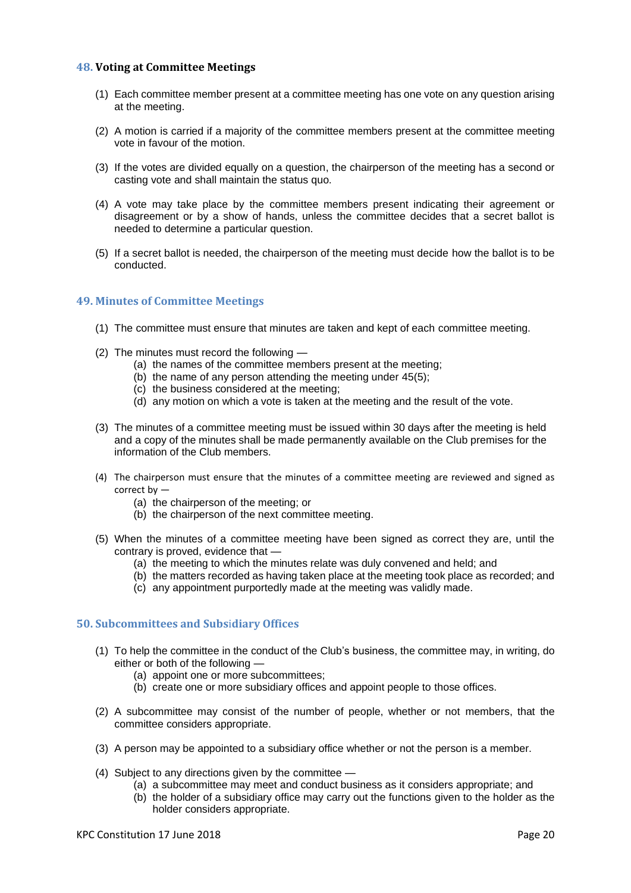#### <span id="page-19-0"></span>**48. Voting at Committee Meetings**

- (1) Each committee member present at a committee meeting has one vote on any question arising at the meeting.
- (2) A motion is carried if a majority of the committee members present at the committee meeting vote in favour of the motion.
- (3) If the votes are divided equally on a question, the chairperson of the meeting has a second or casting vote and shall maintain the status quo.
- (4) A vote may take place by the committee members present indicating their agreement or disagreement or by a show of hands, unless the committee decides that a secret ballot is needed to determine a particular question.
- (5) If a secret ballot is needed, the chairperson of the meeting must decide how the ballot is to be conducted.

#### <span id="page-19-1"></span>**49. Minutes of Committee Meetings**

- (1) The committee must ensure that minutes are taken and kept of each committee meeting.
- (2) The minutes must record the following
	- (a) the names of the committee members present at the meeting;
	- (b) the name of any person attending the meeting under 4[5\(5\);](#page-18-3)
	- (c) the business considered at the meeting;
	- (d) any motion on which a vote is taken at the meeting and the result of the vote.
- (3) The minutes of a committee meeting must be issued within 30 days after the meeting is held and a copy of the minutes shall be made permanently available on the Club premises for the information of the Club members.
- (4) The chairperson must ensure that the minutes of a committee meeting are reviewed and signed as correct by —
	- (a) the chairperson of the meeting; or
	- (b) the chairperson of the next committee meeting.
- (5) When the minutes of a committee meeting have been signed as correct they are, until the contrary is proved, evidence that —
	- (a) the meeting to which the minutes relate was duly convened and held; and
	- (b) the matters recorded as having taken place at the meeting took place as recorded; and
	- (c) any appointment purportedly made at the meeting was validly made.

#### <span id="page-19-2"></span>**50. Subcommittees and Subs**i**diary Offices**

- <span id="page-19-3"></span>(1) To help the committee in the conduct of the Club's business, the committee may, in writing, do either or both of the following —
	- (a) appoint one or more subcommittees;
	- (b) create one or more subsidiary offices and appoint people to those offices.
- (2) A subcommittee may consist of the number of people, whether or not members, that the committee considers appropriate.
- (3) A person may be appointed to a subsidiary office whether or not the person is a member.
- (4) Subject to any directions given by the committee
	- (a) a subcommittee may meet and conduct business as it considers appropriate; and
	- (b) the holder of a subsidiary office may carry out the functions given to the holder as the holder considers appropriate.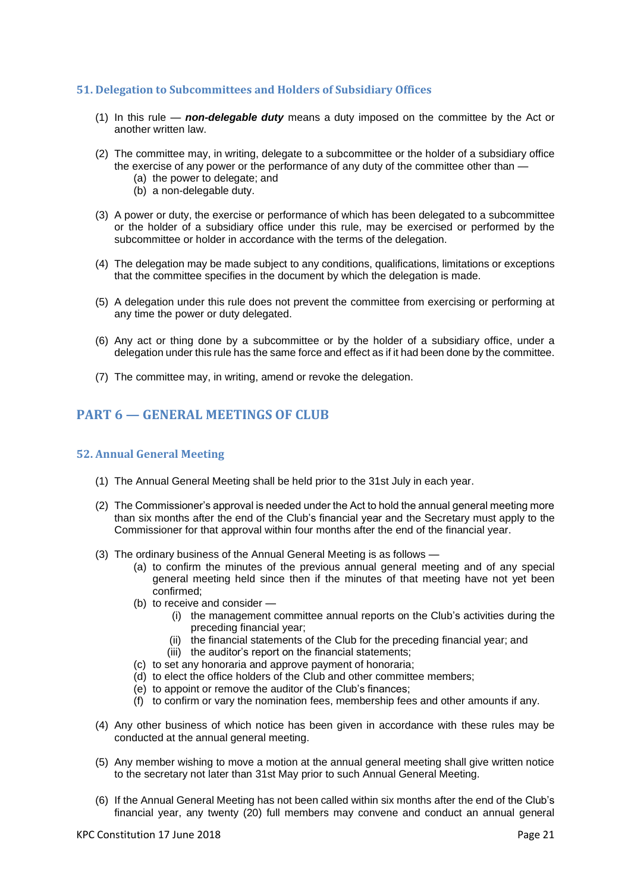## <span id="page-20-0"></span>**51. Delegation to Subcommittees and Holders of Subsidiary Offices**

- (1) In this rule *non-delegable duty* means a duty imposed on the committee by the Act or another written law.
- (2) The committee may, in writing, delegate to a subcommittee or the holder of a subsidiary office the exercise of any power or the performance of any duty of the committee other than —
	- (a) the power to delegate; and
	- (b) a non-delegable duty.
- (3) A power or duty, the exercise or performance of which has been delegated to a subcommittee or the holder of a subsidiary office under this rule, may be exercised or performed by the subcommittee or holder in accordance with the terms of the delegation.
- (4) The delegation may be made subject to any conditions, qualifications, limitations or exceptions that the committee specifies in the document by which the delegation is made.
- (5) A delegation under this rule does not prevent the committee from exercising or performing at any time the power or duty delegated.
- (6) Any act or thing done by a subcommittee or by the holder of a subsidiary office, under a delegation under this rule has the same force and effect as if it had been done by the committee.
- (7) The committee may, in writing, amend or revoke the delegation.

## <span id="page-20-1"></span>**PART 6 — GENERAL MEETINGS OF CLUB**

#### <span id="page-20-2"></span>**52. Annual General Meeting**

- (1) The Annual General Meeting shall be held prior to the 31st July in each year.
- (2) The Commissioner's approval is needed under the Act to hold the annual general meeting more than six months after the end of the Club's financial year and the Secretary must apply to the Commissioner for that approval within four months after the end of the financial year.
- (3) The ordinary business of the Annual General Meeting is as follows
	- (a) to confirm the minutes of the previous annual general meeting and of any special general meeting held since then if the minutes of that meeting have not yet been confirmed;
	- (b) to receive and consider
		- (i) the management committee annual reports on the Club's activities during the preceding financial year;
		- (ii) the financial statements of the Club for the preceding financial year; and
		- (iii) the auditor's report on the financial statements;
	- (c) to set any honoraria and approve payment of honoraria;
	- (d) to elect the office holders of the Club and other committee members;
	- (e) to appoint or remove the auditor of the Club's finances;
	- (f) to confirm or vary the nomination fees, membership fees and other amounts if any.
- (4) Any other business of which notice has been given in accordance with these rules may be conducted at the annual general meeting.
- (5) Any member wishing to move a motion at the annual general meeting shall give written notice to the secretary not later than 31st May prior to such Annual General Meeting.
- (6) If the Annual General Meeting has not been called within six months after the end of the Club's financial year, any twenty (20) full members may convene and conduct an annual general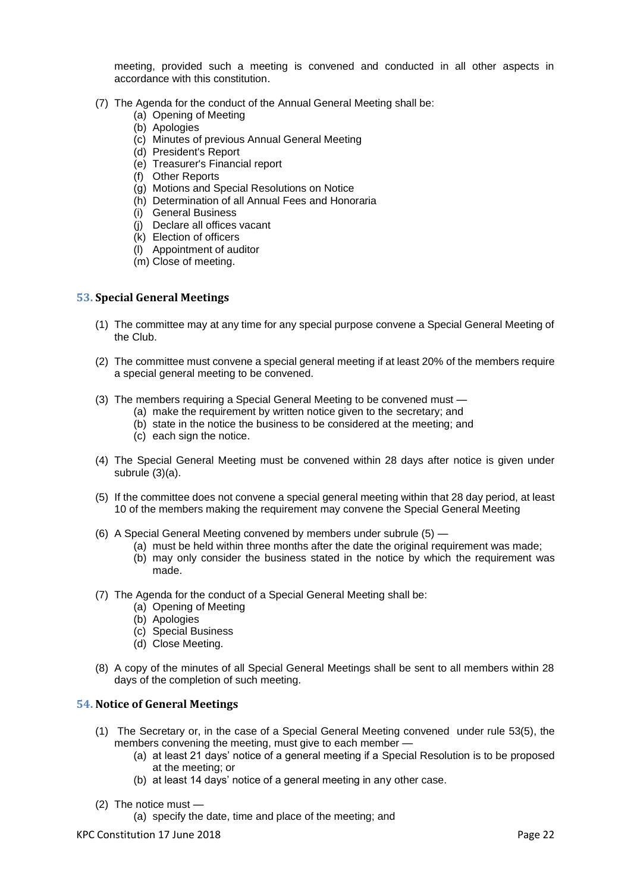meeting, provided such a meeting is convened and conducted in all other aspects in accordance with this constitution.

- (7) The Agenda for the conduct of the Annual General Meeting shall be:
	- (a) Opening of Meeting
	- (b) Apologies
	- (c) Minutes of previous Annual General Meeting
	- (d) President's Report
	- (e) Treasurer's Financial report
	- (f) Other Reports
	- (g) Motions and Special Resolutions on Notice
	- (h) Determination of all Annual Fees and Honoraria
	- (i) General Business
	- (j) Declare all offices vacant
	- (k) Election of officers
	- (l) Appointment of auditor
	- (m) Close of meeting.

#### <span id="page-21-0"></span>**53. Special General Meetings**

- (1) The committee may at any time for any special purpose convene a Special General Meeting of the Club.
- (2) The committee must convene a special general meeting if at least 20% of the members require a special general meeting to be convened.
- (3) The members requiring a Special General Meeting to be convened must
	- (a) make the requirement by written notice given to the secretary; and
	- (b) state in the notice the business to be considered at the meeting; and
	- (c) each sign the notice.
- (4) The Special General Meeting must be convened within 28 days after notice is given under subrule (3)(a).
- <span id="page-21-2"></span>(5) If the committee does not convene a special general meeting within that 28 day period, at least 10 of the members making the requirement may convene the Special General Meeting
- (6) A Special General Meeting convened by members under subrule (5)
	- (a) must be held within three months after the date the original requirement was made;
	- (b) may only consider the business stated in the notice by which the requirement was made.
- (7) The Agenda for the conduct of a Special General Meeting shall be:
	- (a) Opening of Meeting
	- (b) Apologies
	- (c) Special Business
	- (d) Close Meeting.
- (8) A copy of the minutes of all Special General Meetings shall be sent to all members within 28 days of the completion of such meeting.

## <span id="page-21-1"></span>**54. Notice of General Meetings**

- (1) The Secretary or, in the case of a Special General Meeting convened under rule [53](#page-21-0)[\(5\),](#page-21-2) the members convening the meeting, must give to each member —
	- (a) at least 21 days' notice of a general meeting if a Special Resolution is to be proposed at the meeting; or
	- (b) at least 14 days' notice of a general meeting in any other case.
- (2) The notice must
	- (a) specify the date, time and place of the meeting; and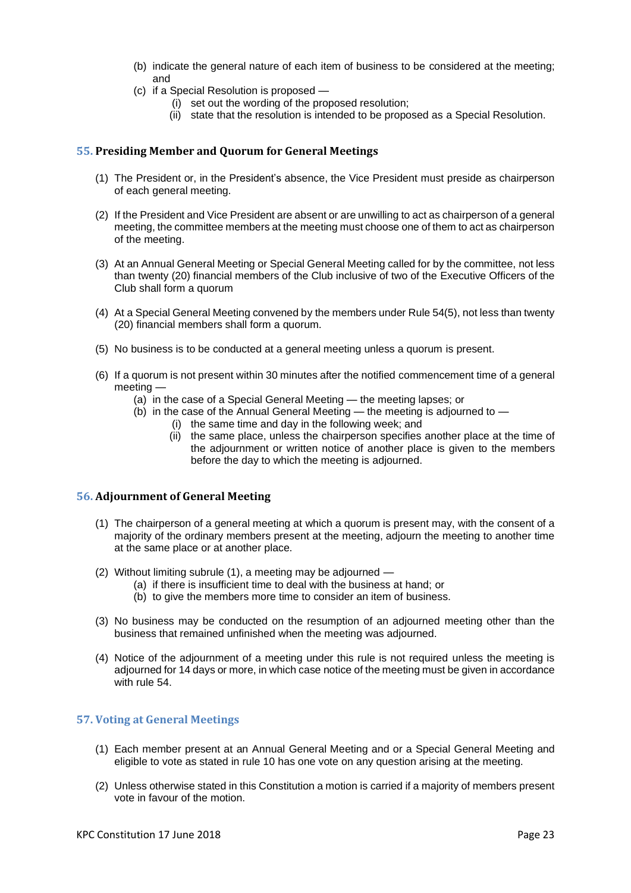- (b) indicate the general nature of each item of business to be considered at the meeting; and
- (c) if a Special Resolution is proposed
	- (i) set out the wording of the proposed resolution;
	- (ii) state that the resolution is intended to be proposed as a Special Resolution.

#### <span id="page-22-0"></span>**55. Presiding Member and Quorum for General Meetings**

- (1) The President or, in the President's absence, the Vice President must preside as chairperson of each general meeting.
- (2) If the President and Vice President are absent or are unwilling to act as chairperson of a general meeting, the committee members at the meeting must choose one of them to act as chairperson of the meeting.
- (3) At an Annual General Meeting or Special General Meeting called for by the committee, not less than twenty (20) financial members of the Club inclusive of two of the Executive Officers of the Club shall form a quorum
- (4) At a Special General Meeting convened by the members under Rule 54(5), not less than twenty (20) financial members shall form a quorum.
- (5) No business is to be conducted at a general meeting unless a quorum is present.
- (6) If a quorum is not present within 30 minutes after the notified commencement time of a general meeting —
	- (a) in the case of a Special General Meeting the meeting lapses; or
	- (b) in the case of the Annual General Meeting the meeting is adjourned to
		- (i) the same time and day in the following week; and
			- (ii) the same place, unless the chairperson specifies another place at the time of the adjournment or written notice of another place is given to the members before the day to which the meeting is adjourned.

#### <span id="page-22-1"></span>**56. Adjournment of General Meeting**

- (1) The chairperson of a general meeting at which a quorum is present may, with the consent of a majority of the ordinary members present at the meeting, adjourn the meeting to another time at the same place or at another place.
- (2) Without limiting subrule (1), a meeting may be adjourned
	- (a) if there is insufficient time to deal with the business at hand; or
	- (b) to give the members more time to consider an item of business.
- (3) No business may be conducted on the resumption of an adjourned meeting other than the business that remained unfinished when the meeting was adjourned.
- (4) Notice of the adjournment of a meeting under this rule is not required unless the meeting is adjourned for 14 days or more, in which case notice of the meeting must be given in accordance with rule 54.

#### <span id="page-22-2"></span>**57. Voting at General Meetings**

- (1) Each member present at an Annual General Meeting and or a Special General Meeting and eligible to vote as stated in rule 10 has one vote on any question arising at the meeting.
- (2) Unless otherwise stated in this Constitution a motion is carried if a majority of members present vote in favour of the motion.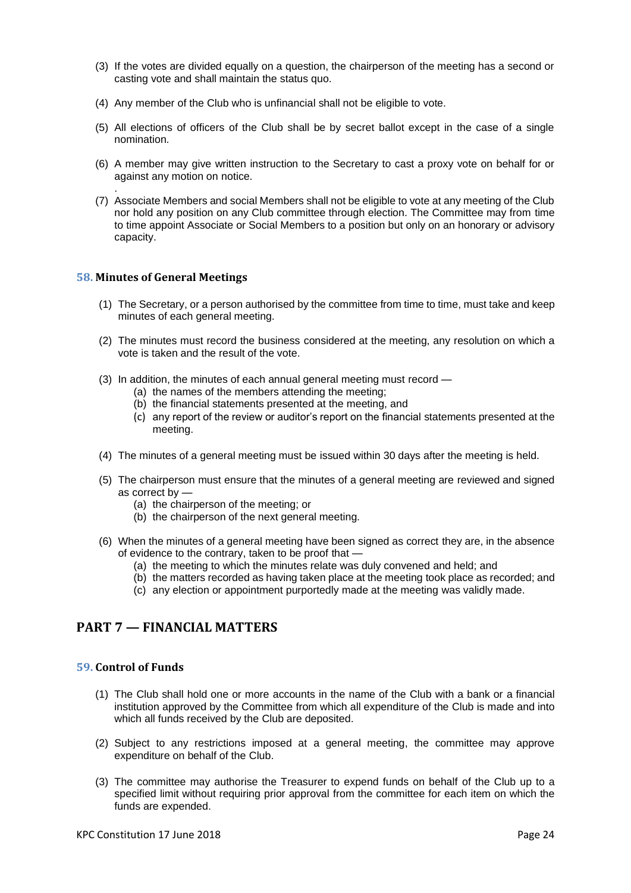- (3) If the votes are divided equally on a question, the chairperson of the meeting has a second or casting vote and shall maintain the status quo.
- (4) Any member of the Club who is unfinancial shall not be eligible to vote.
- (5) All elections of officers of the Club shall be by secret ballot except in the case of a single nomination.
- (6) A member may give written instruction to the Secretary to cast a proxy vote on behalf for or against any motion on notice.
- (7) Associate Members and social Members shall not be eligible to vote at any meeting of the Club nor hold any position on any Club committee through election. The Committee may from time to time appoint Associate or Social Members to a position but only on an honorary or advisory capacity.

#### <span id="page-23-0"></span>**58. Minutes of General Meetings**

.

- (1) The Secretary, or a person authorised by the committee from time to time, must take and keep minutes of each general meeting.
- (2) The minutes must record the business considered at the meeting, any resolution on which a vote is taken and the result of the vote.
- (3) In addition, the minutes of each annual general meeting must record
	- (a) the names of the members attending the meeting;
	- (b) the financial statements presented at the meeting, and
	- (c) any report of the review or auditor's report on the financial statements presented at the meeting.
- (4) The minutes of a general meeting must be issued within 30 days after the meeting is held.
- (5) The chairperson must ensure that the minutes of a general meeting are reviewed and signed as correct by —
	- (a) the chairperson of the meeting; or
	- (b) the chairperson of the next general meeting.
- (6) When the minutes of a general meeting have been signed as correct they are, in the absence of evidence to the contrary, taken to be proof that —
	- (a) the meeting to which the minutes relate was duly convened and held; and
	- (b) the matters recorded as having taken place at the meeting took place as recorded; and
	- (c) any election or appointment purportedly made at the meeting was validly made.

## <span id="page-23-1"></span>**PART 7 — FINANCIAL MATTERS**

#### <span id="page-23-2"></span>**59. Control of Funds**

- (1) The Club shall hold one or more accounts in the name of the Club with a bank or a financial institution approved by the Committee from which all expenditure of the Club is made and into which all funds received by the Club are deposited.
- (2) Subject to any restrictions imposed at a general meeting, the committee may approve expenditure on behalf of the Club.
- (3) The committee may authorise the Treasurer to expend funds on behalf of the Club up to a specified limit without requiring prior approval from the committee for each item on which the funds are expended.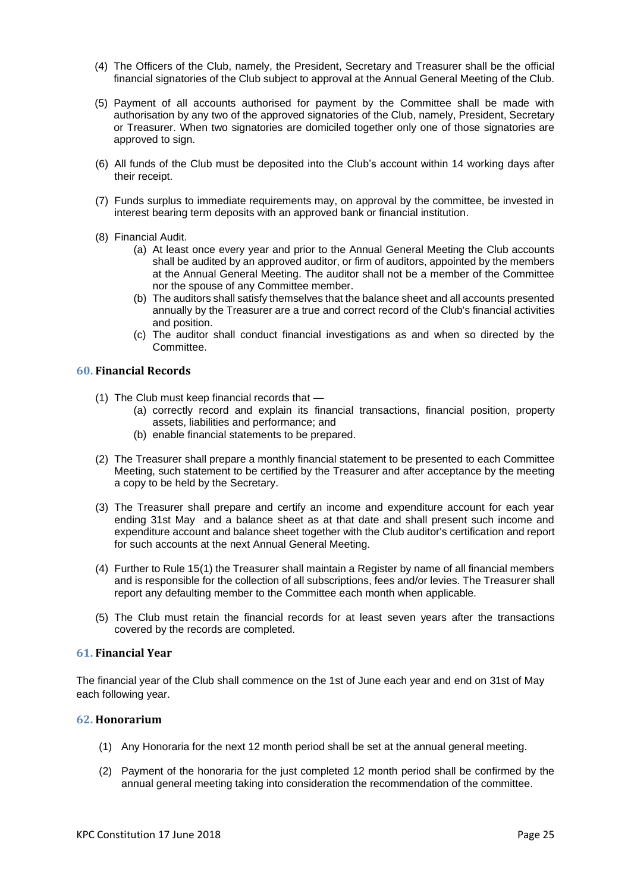- (4) The Officers of the Club, namely, the President, Secretary and Treasurer shall be the official financial signatories of the Club subject to approval at the Annual General Meeting of the Club.
- (5) Payment of all accounts authorised for payment by the Committee shall be made with authorisation by any two of the approved signatories of the Club, namely, President, Secretary or Treasurer. When two signatories are domiciled together only one of those signatories are approved to sign.
- (6) All funds of the Club must be deposited into the Club's account within 14 working days after their receipt.
- (7) Funds surplus to immediate requirements may, on approval by the committee, be invested in interest bearing term deposits with an approved bank or financial institution.
- (8) Financial Audit.
	- (a) At least once every year and prior to the Annual General Meeting the Club accounts shall be audited by an approved auditor, or firm of auditors, appointed by the members at the Annual General Meeting. The auditor shall not be a member of the Committee nor the spouse of any Committee member.
	- (b) The auditors shall satisfy themselves that the balance sheet and all accounts presented annually by the Treasurer are a true and correct record of the Club's financial activities and position.
	- (c) The auditor shall conduct financial investigations as and when so directed by the **Committee.**

#### <span id="page-24-0"></span>**60. Financial Records**

- (1) The Club must keep financial records that
	- (a) correctly record and explain its financial transactions, financial position, property assets, liabilities and performance; and
	- (b) enable financial statements to be prepared.
- (2) The Treasurer shall prepare a monthly financial statement to be presented to each Committee Meeting, such statement to be certified by the Treasurer and after acceptance by the meeting a copy to be held by the Secretary.
- (3) The Treasurer shall prepare and certify an income and expenditure account for each year ending 31st May and a balance sheet as at that date and shall present such income and expenditure account and balance sheet together with the Club auditor's certification and report for such accounts at the next Annual General Meeting.
- (4) Further to Rule 15(1) the Treasurer shall maintain a Register by name of all financial members and is responsible for the collection of all subscriptions, fees and/or levies. The Treasurer shall report any defaulting member to the Committee each month when applicable.
- (5) The Club must retain the financial records for at least seven years after the transactions covered by the records are completed.

#### <span id="page-24-1"></span>**61. Financial Year**

The financial year of the Club shall commence on the 1st of June each year and end on 31st of May each following year.

#### <span id="page-24-2"></span>**62. Honorarium**

- (1) Any Honoraria for the next 12 month period shall be set at the annual general meeting.
- (2) Payment of the honoraria for the just completed 12 month period shall be confirmed by the annual general meeting taking into consideration the recommendation of the committee.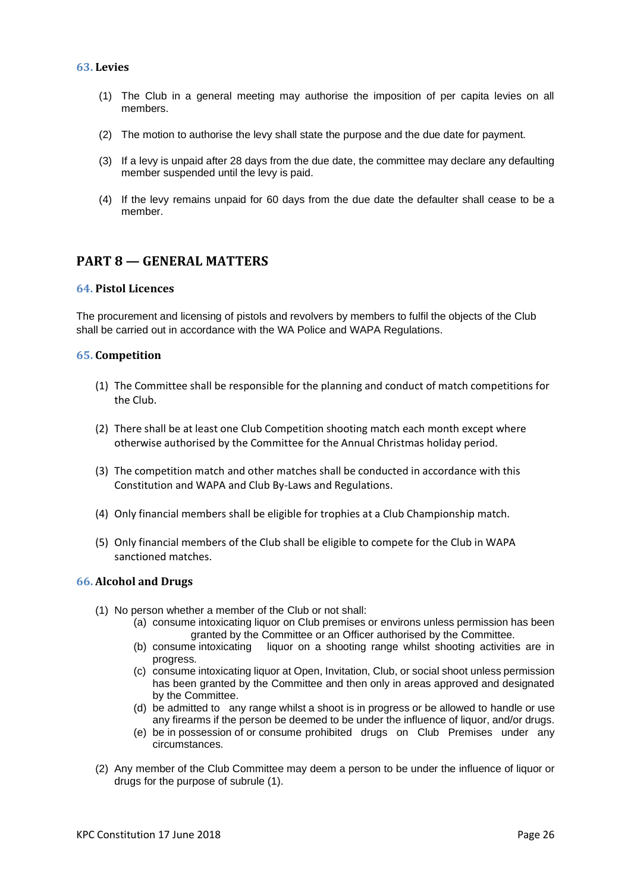#### <span id="page-25-0"></span>**63. Levies**

- (1) The Club in a general meeting may authorise the imposition of per capita levies on all members.
- (2) The motion to authorise the levy shall state the purpose and the due date for payment.
- (3) If a levy is unpaid after 28 days from the due date, the committee may declare any defaulting member suspended until the levy is paid.
- (4) If the levy remains unpaid for 60 days from the due date the defaulter shall cease to be a member.

## <span id="page-25-1"></span>**PART 8 — GENERAL MATTERS**

#### <span id="page-25-2"></span>**64. Pistol Licences**

The procurement and licensing of pistols and revolvers by members to fulfil the objects of the Club shall be carried out in accordance with the WA Police and WAPA Regulations.

#### <span id="page-25-3"></span>**65. Competition**

- (1) The Committee shall be responsible for the planning and conduct of match competitions for the Club.
- (2) There shall be at least one Club Competition shooting match each month except where otherwise authorised by the Committee for the Annual Christmas holiday period.
- (3) The competition match and other matches shall be conducted in accordance with this Constitution and WAPA and Club By-Laws and Regulations.
- (4) Only financial members shall be eligible for trophies at a Club Championship match.
- (5) Only financial members of the Club shall be eligible to compete for the Club in WAPA sanctioned matches.

#### <span id="page-25-4"></span>**66. Alcohol and Drugs**

- (1) No person whether a member of the Club or not shall:
	- (a) consume intoxicating liquor on Club premises or environs unless permission has been granted by the Committee or an Officer authorised by the Committee.
	- (b) consume intoxicating liquor on a shooting range whilst shooting activities are in progress.
	- (c) consume intoxicating liquor at Open, Invitation, Club, or social shoot unless permission has been granted by the Committee and then only in areas approved and designated by the Committee.
	- (d) be admitted to any range whilst a shoot is in progress or be allowed to handle or use any firearms if the person be deemed to be under the influence of liquor, and/or drugs.
	- (e) be in possession of or consume prohibited drugs on Club Premises under any circumstances.
- (2) Any member of the Club Committee may deem a person to be under the influence of liquor or drugs for the purpose of subrule (1).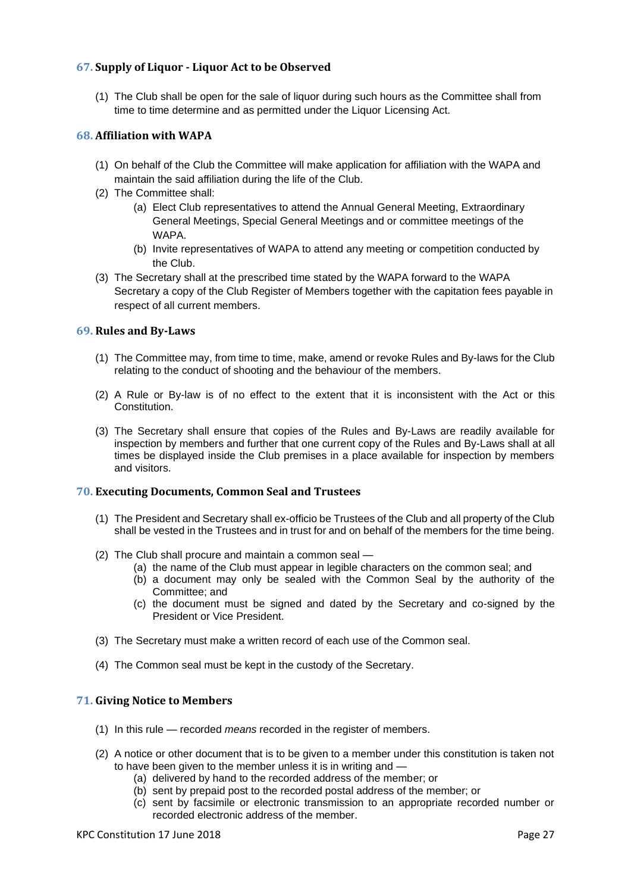## <span id="page-26-0"></span>**67. Supply of Liquor - Liquor Act to be Observed**

(1) The Club shall be open for the sale of liquor during such hours as the Committee shall from time to time determine and as permitted under the Liquor Licensing Act.

#### <span id="page-26-1"></span>**68. Affiliation with WAPA**

- (1) On behalf of the Club the Committee will make application for affiliation with the WAPA and maintain the said affiliation during the life of the Club.
- (2) The Committee shall:
	- (a) Elect Club representatives to attend the Annual General Meeting, Extraordinary General Meetings, Special General Meetings and or committee meetings of the WAPA.
	- (b) Invite representatives of WAPA to attend any meeting or competition conducted by the Club.
- (3) The Secretary shall at the prescribed time stated by the WAPA forward to the WAPA Secretary a copy of the Club Register of Members together with the capitation fees payable in respect of all current members.

## <span id="page-26-2"></span>**69. Rules and By-Laws**

- (1) The Committee may, from time to time, make, amend or revoke Rules and By-laws for the Club relating to the conduct of shooting and the behaviour of the members.
- (2) A Rule or By-law is of no effect to the extent that it is inconsistent with the Act or this Constitution.
- (3) The Secretary shall ensure that copies of the Rules and By-Laws are readily available for inspection by members and further that one current copy of the Rules and By-Laws shall at all times be displayed inside the Club premises in a place available for inspection by members and visitors.

#### <span id="page-26-3"></span>**70. Executing Documents, Common Seal and Trustees**

- (1) The President and Secretary shall ex-officio be Trustees of the Club and all property of the Club shall be vested in the Trustees and in trust for and on behalf of the members for the time being.
- (2) The Club shall procure and maintain a common seal
	- (a) the name of the Club must appear in legible characters on the common seal; and
	- (b) a document may only be sealed with the Common Seal by the authority of the Committee; and
	- (c) the document must be signed and dated by the Secretary and co-signed by the President or Vice President.
- (3) The Secretary must make a written record of each use of the Common seal.
- (4) The Common seal must be kept in the custody of the Secretary.

#### <span id="page-26-4"></span>**71. Giving Notice to Members**

- (1) In this rule recorded *means* recorded in the register of members.
- (2) A notice or other document that is to be given to a member under this constitution is taken not to have been given to the member unless it is in writing and —
	- (a) delivered by hand to the recorded address of the member; or
	- (b) sent by prepaid post to the recorded postal address of the member; or
	- (c) sent by facsimile or electronic transmission to an appropriate recorded number or recorded electronic address of the member.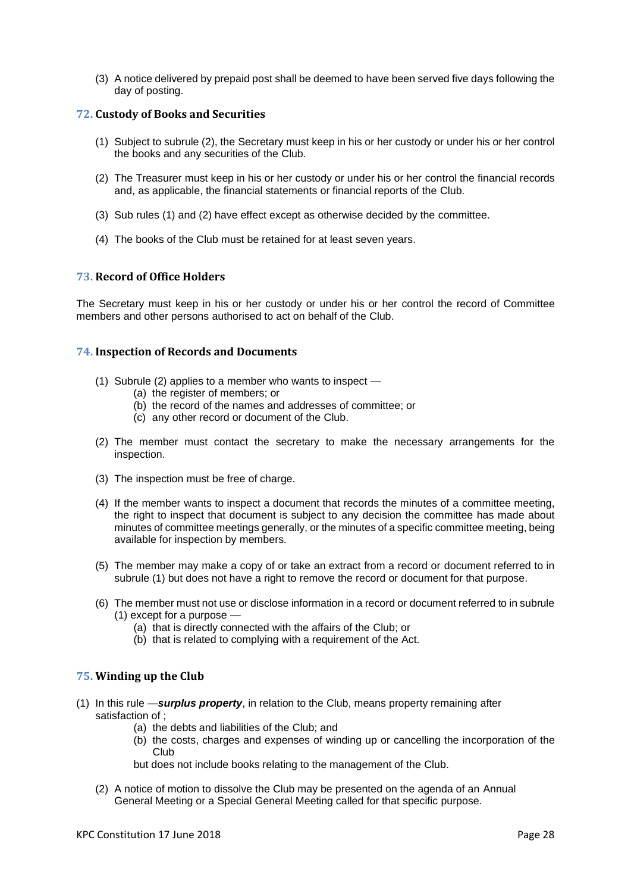(3) A notice delivered by prepaid post shall be deemed to have been served five days following the day of posting.

#### <span id="page-27-0"></span>**72. Custody of Books and Securities**

- (1) Subject to subrule (2), the Secretary must keep in his or her custody or under his or her control the books and any securities of the Club.
- (2) The Treasurer must keep in his or her custody or under his or her control the financial records and, as applicable, the financial statements or financial reports of the Club.
- (3) Sub rules (1) and (2) have effect except as otherwise decided by the committee.
- (4) The books of the Club must be retained for at least seven years.

#### <span id="page-27-1"></span>**73. Record of Office Holders**

The Secretary must keep in his or her custody or under his or her control the record of Committee members and other persons authorised to act on behalf of the Club.

#### <span id="page-27-2"></span>**74. Inspection of Records and Documents**

- (1) Subrule (2) applies to a member who wants to inspect
	- (a) the register of members; or
	- (b) the record of the names and addresses of committee; or
	- (c) any other record or document of the Club.
- (2) The member must contact the secretary to make the necessary arrangements for the inspection.
- (3) The inspection must be free of charge.
- (4) If the member wants to inspect a document that records the minutes of a committee meeting, the right to inspect that document is subject to any decision the committee has made about minutes of committee meetings generally, or the minutes of a specific committee meeting, being available for inspection by members.
- (5) The member may make a copy of or take an extract from a record or document referred to in subrule (1) but does not have a right to remove the record or document for that purpose.
- (6) The member must not use or disclose information in a record or document referred to in subrule (1) except for a purpose —
	- (a) that is directly connected with the affairs of the Club; or
	- (b) that is related to complying with a requirement of the Act.

#### <span id="page-27-3"></span>**75. Winding up the Club**

- (1) In this rule —*surplus property*, in relation to the Club, means property remaining after satisfaction of :
	- (a) the debts and liabilities of the Club; and
	- (b) the costs, charges and expenses of winding up or cancelling the incorporation of the Club

but does not include books relating to the management of the Club.

(2) A notice of motion to dissolve the Club may be presented on the agenda of an Annual General Meeting or a Special General Meeting called for that specific purpose.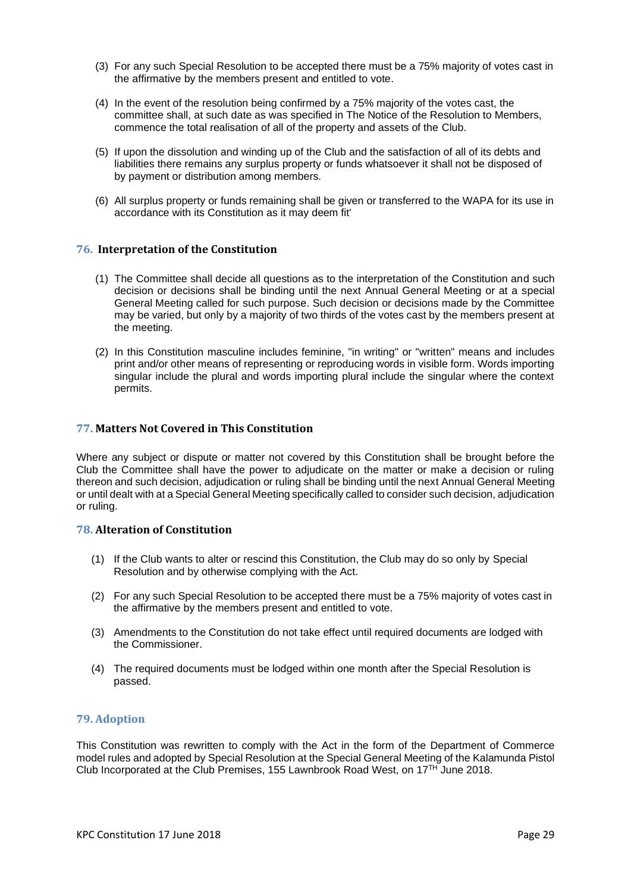- (3) For any such Special Resolution to be accepted there must be a 75% majority of votes cast in the affirmative by the members present and entitled to vote.
- (4) In the event of the resolution being confirmed by a 75% majority of the votes cast, the committee shall, at such date as was specified in The Notice of the Resolution to Members, commence the total realisation of all of the property and assets of the Club.
- (5) If upon the dissolution and winding up of the Club and the satisfaction of all of its debts and liabilities there remains any surplus property or funds whatsoever it shall not be disposed of by payment or distribution among members.
- (6) All surplus property or funds remaining shall be given or transferred to the WAPA for its use in accordance with its Constitution as it may deem fit'

#### <span id="page-28-0"></span>**76. Interpretation of the Constitution**

- (1) The Committee shall decide all questions as to the interpretation of the Constitution and such decision or decisions shall be binding until the next Annual General Meeting or at a special General Meeting called for such purpose. Such decision or decisions made by the Committee may be varied, but only by a majority of two thirds of the votes cast by the members present at the meeting.
- (2) In this Constitution masculine includes feminine, "in writing" or "written" means and includes print and/or other means of representing or reproducing words in visible form. Words importing singular include the plural and words importing plural include the singular where the context permits.

#### <span id="page-28-1"></span>**77. Matters Not Covered in This Constitution**

Where any subject or dispute or matter not covered by this Constitution shall be brought before the Club the Committee shall have the power to adjudicate on the matter or make a decision or ruling thereon and such decision, adjudication or ruling shall be binding until the next Annual General Meeting or until dealt with at a Special General Meeting specifically called to consider such decision, adjudication or ruling.

#### <span id="page-28-2"></span>**78. Alteration of Constitution**

- (1) If the Club wants to alter or rescind this Constitution, the Club may do so only by Special Resolution and by otherwise complying with the Act.
- (2) For any such Special Resolution to be accepted there must be a 75% majority of votes cast in the affirmative by the members present and entitled to vote.
- (3) Amendments to the Constitution do not take effect until required documents are lodged with the Commissioner.
- (4) The required documents must be lodged within one month after the Special Resolution is passed.

## <span id="page-28-3"></span>**79. Adoption**

This Constitution was rewritten to comply with the Act in the form of the Department of Commerce model rules and adopted by Special Resolution at the Special General Meeting of the Kalamunda Pistol Club Incorporated at the Club Premises, 155 Lawnbrook Road West, on 17<sup>TH</sup> June 2018.